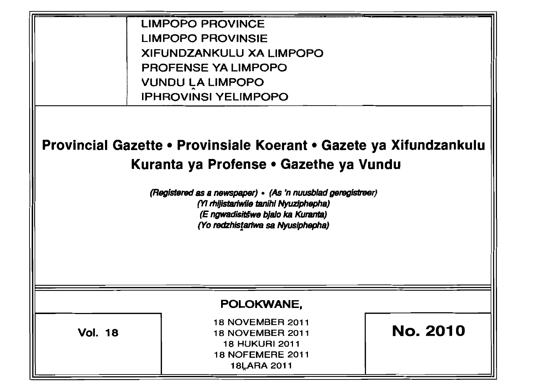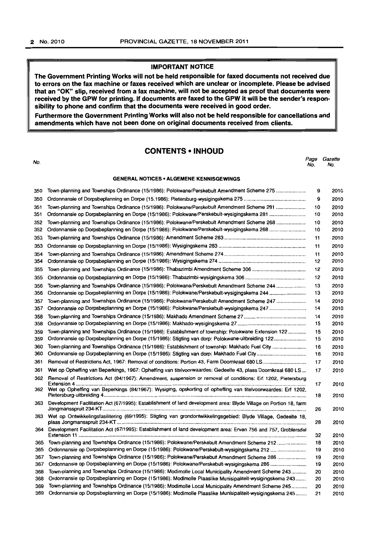### IMPORTANT NOTICE

The Government Printing Works will not be held responsible for faxed documents not received due to errors on the fax machine or faxes received which are unclear or incomplete. Please be advised that an "OK" slip, received from a fax machine, will not be accepted as proof that documents were received by the GPW for printing. If documents are faxed to the GPW it will be the sender's responsibility to phone and confirm that the documents were received in good order.

Furthermore the Government Printing Works will also not be held responsible for cancellations and amendments which have not been done on original documents received from clients.

### CONTENTS • INHOLID

No. Page Gazette No. No.

#### GENERAL NOTICES • ALGEMENE KENNISGEWINGS

| 350 | Town-planning and Townships Ordinance (15/1986): Polokwane/Perskebult Amendment Scheme 275                        | 9  | 2010 |
|-----|-------------------------------------------------------------------------------------------------------------------|----|------|
| 350 |                                                                                                                   | 9  | 2010 |
| 351 | Town-planning and Townships Ordinance (15/1986): Polokwane/Perskebult Amendment Scheme 281                        | 10 | 2010 |
| 351 | Ordonnansie op Dorpsbeplanning en Dorpe (15/1986): Polokwane/Perskebult-wysigingskema 281                         | 10 | 2010 |
| 352 | Town-planning and Townships Ordinance (15/1986): Polokwane/Perskebult Amendment Scheme 268                        | 10 | 2010 |
| 352 | Ordonnansie op Dorpsbeplanning en Dorpe (15/1986): Polokwane/Perskebult-wysigingskema 268                         | 10 | 2010 |
| 353 |                                                                                                                   | 11 | 2010 |
| 353 |                                                                                                                   | 11 | 2010 |
| 354 |                                                                                                                   | 11 | 2010 |
| 354 |                                                                                                                   | 12 | 2010 |
| 355 |                                                                                                                   | 12 | 2010 |
| 355 |                                                                                                                   | 12 | 2010 |
| 356 | Town-planning and Townships Ordinance (15/1986): Polokwane/Perskebult Amendment Scheme 244                        | 13 | 2010 |
| 356 |                                                                                                                   | 13 | 2010 |
| 357 | Town-planning and Townships Ordinance (15/1986): Polokwane/Perskebult Amendment Scheme 247                        | 14 | 2010 |
| 357 | Ordonnansie op Dorpsbeplanning en Dorpe (15/1986): Polokwane/Perskebult-wysigingskema 247                         | 14 | 2010 |
| 358 |                                                                                                                   | 14 | 2010 |
| 358 |                                                                                                                   | 15 | 2010 |
| 359 | Town-planning and Townships Ordinance (15/1986): Establishment of township: Polokwane Extension 122               | 15 | 2010 |
| 359 | Ordonnansie op Dorpsbeplanning en Dorpe (15/1986): Stigting van dorp: Polokwane-uitbreiding 122                   | 15 | 2010 |
| 360 | Town-planning and Townships Ordinance (15/1986): Establishment of township: Makhado Fuel City                     | 16 | 2010 |
| 360 |                                                                                                                   | 16 | 2010 |
| 361 |                                                                                                                   | 17 | 2010 |
| 361 | Wet op Opheffing van Beperkings, 1967: Opheffing van titelvoorwaardes: Gedeelte 43, plaas Doornkraal 680 LS       | 17 | 2010 |
| 362 | Removal of Restrictions Act (84/1967): Amendment, suspension or removal of conditions: Erf 1202, Pietersburg      | 17 | 2010 |
| 362 | Wet op Opheffing van Beperkings (84/1967): Wysiging, opskorting of opheffing van titelvoorwaardes: Erf 1202,      | 18 | 2010 |
| 363 | Development Facilitation Act (67/1995): Establishment of land development area: Blyde Village on Portion 18, farm |    |      |
| 363 | Wet op Ontwikkelingsfasilitering (69/1995): Stigting van grondontwikkelingsgebied: Blyde Village, Gedeelte 18,    | 26 | 2010 |
|     |                                                                                                                   | 28 | 2010 |
| 364 | Development Facilitation Act (67/1995): Establishment of land development area: Erven 756 and 757, Groblersdal    | 32 | 2010 |
| 365 | Town-planning and Townships Ordinance (15/1986): Polokwane/Perskebult Amendment Scheme 212                        | 18 | 2010 |
| 365 | Ordonnansie op Dorpsbeplanning en Dorpe (15/1986): Polokwane/Perskebult-wysigingskema 212                         | 19 | 2010 |
| 367 | Town-planning and Townships Ordinance (15/1986): Polokwane/Perskebult Amendment Scheme 286                        | 19 | 2010 |
| 367 | Ordonnansie op Dorpsbeplanning en Dorpe (15/1986): Polokwane/Perskebult-wysigingskema 286                         | 19 | 2010 |
| 368 | Town-planning and Townships Ordinance (15/1986): Modimolle Local Municipality Amendment Scheme 243                | 20 | 2010 |
| 368 | Ordonnansie op Dorpsbeplanning en Dorpe (15/1986): Modimolle Plaaslike Munisipaliteit-wysigingskema 243           | 20 | 2010 |
| 369 | Town-planning and Townships Ordinance (15/1986): Modimolle Local Municipality Amendment Scheme 245                | 20 | 2010 |
| 369 | Ordonnansie op Dorpsbeplanning en Dorpe (15/1986): Modimolle Plaaslike Munisipaliteit-wysigingskema 245           | 21 | 2010 |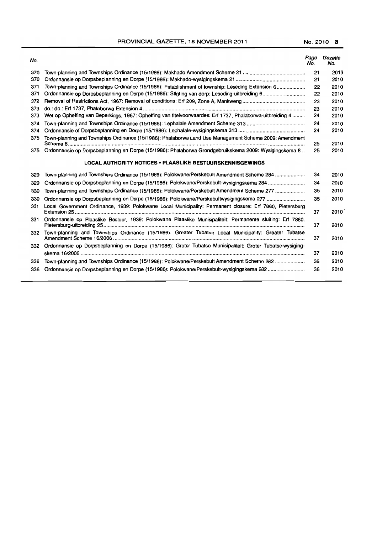PROVINCIAL GAZETTE, 18 NOVEMBER 2011 No. 2010 3

| No. |                                                                                                            | Page<br>No. | Gazette<br>No. |
|-----|------------------------------------------------------------------------------------------------------------|-------------|----------------|
| 370 |                                                                                                            | 21          | 2010           |
| 370 |                                                                                                            | 21          | 2010           |
| 371 | Town-planning and Townships Ordinance (15/1986): Establishment of township: Leseding Extension 6           | 22          | 2010           |
| 371 |                                                                                                            | 22          | 2010           |
| 372 |                                                                                                            | 23          | 2010           |
| 373 |                                                                                                            | 23          | 2010           |
| 373 | Wet op Opheffing van Beperkings, 1967: Opheffing van titelvoorwaardes: Erf 1737, Phalaborwa-uitbreiding 4  | 24          | 2010           |
| 374 |                                                                                                            | 24          | 2010           |
| 374 |                                                                                                            | 24          | 2010           |
| 375 | Town-planning and Townships Ordinance (15/1986): Phalaborwa Land Use Management Scheme 2009: Amendment     | 25          | 2010           |
| 375 | Ordonnansie op Dorpsbeplanning en Dorpe (15/1986): Phalaborwa Grondgebruikskema 2009: Wysigingskema 8      | 25          | 2010           |
|     | <b>LOCAL AUTHORITY NOTICES • PLAASLIKE BESTUURSKENNISGEWINGS</b>                                           |             |                |
| 329 | Town-planning and Townships Ordinance (15/1986): Polokwane/Perskebult Amendment Scheme 284                 | 34          | 2010           |
| 329 | Ordonnansie op Dorpsbeplanning en Dorpe (15/1986): Połokwane/Perskebult-wysigingskema 284                  | 34          | 2010           |
| 330 | Town-planning and Townships Ordinance (15/1986): Polokwane/Perskebult Amendment Scheme 277                 | 35          | 2010           |
| 330 |                                                                                                            | 35          | 2010           |
| 331 | Local Government Ordinance, 1939: Polokwane Local Municipality: Permanent closure: Erf 7860, Pietersburg   | 37          | 2010           |
| 331 | Ordonnansie op Plaaslike Bestuur, 1939: Polokwane Plaaslike Munisipaliteit: Permanente sluiting: Erf 7860, | 37          | 2010           |
| 332 | Town-planning and Townships Ordinance (15/1986): Greater Tubatse Local Municipality: Greater Tubatse       | 37          | 2010           |
| 332 | Ordonnansie op Dorpsbeplanning en Dorpe (15/1986): Groter Tubatse Munisipaliteit: Groter Tubatse-wysiging- |             |                |
|     |                                                                                                            | 37          | 2010           |
| 336 | Town-planning and Townships Ordinance (15/1986): Polokwane/Perskebult Amendment Scheme 282                 | 36          | 2010           |
| 336 |                                                                                                            | 36          | 2010           |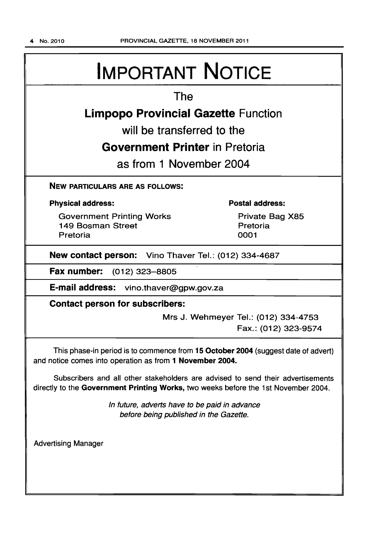# IMPORTANT NOTICE

# The

# Limpopo Provincial Gazette Function

will be transferred to the

# Government Printer in Pretoria

as from 1 November 2004

NEW PARTICULARS ARE AS FOLLOWS:

### Physical address:

Government Printing Works 149 Bosman Street Pretoria

### Postal address:

Private Bag X85 **Pretoria** 0001

New contact person: Vino Thaver Tel.: (012) 334-4687

Fax number: (012) 323-8805

E-mail address: vino.thaver@gpw.gov.za

Contact person for subscribers:

Mrs J. Wehmeyer Tel.: (012) 334-4753 Fax.: (012) 323-9574

This phase-in period is to commence from 15 October 2004 (suggest date of advert) and notice comes into operation as from 1 November 2004.

Subscribers and all other stakeholders are advised to send their advertisements directly to the Government Printing Works, two weeks before the 1st November 2004.

> In future, adverts have to be paid in advance before being published in the Gazette.

Advertising Manager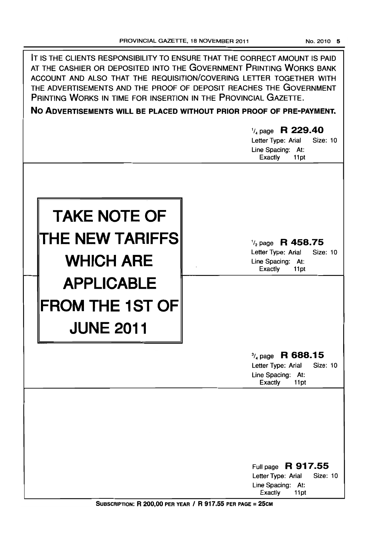| IT IS THE CLIENTS RESPONSIBILITY TO ENSURE THAT THE CORRECT AMOUNT IS PAID<br>AT THE CASHIER OR DEPOSITED INTO THE GOVERNMENT PRINTING WORKS BANK<br>ACCOUNT AND ALSO THAT THE REQUISITION/COVERING LETTER TOGETHER WITH<br>THE ADVERTISEMENTS AND THE PROOF OF DEPOSIT REACHES THE GOVERNMENT<br>PRINTING WORKS IN TIME FOR INSERTION IN THE PROVINCIAL GAZETTE.<br>NO ADVERTISEMENTS WILL BE PLACED WITHOUT PRIOR PROOF OF PRE-PAYMENT.<br>$\frac{1}{4}$ page R 229.40<br>Letter Type: Arial<br><b>Size: 10</b><br>Line Spacing: At:<br>Exactly<br>11pt |                                                                                                                                             |  |  |  |  |
|-----------------------------------------------------------------------------------------------------------------------------------------------------------------------------------------------------------------------------------------------------------------------------------------------------------------------------------------------------------------------------------------------------------------------------------------------------------------------------------------------------------------------------------------------------------|---------------------------------------------------------------------------------------------------------------------------------------------|--|--|--|--|
| <b>TAKE NOTE OF</b><br><b>THE NEW TARIFFS</b><br><b>WHICH ARE</b>                                                                                                                                                                                                                                                                                                                                                                                                                                                                                         | $\frac{1}{2}$ page R 458.75<br>Letter Type: Arial<br>Size: 10<br>Line Spacing: At:<br>Exactly<br>11pt                                       |  |  |  |  |
| <b>APPLICABLE</b><br><b>FROM THE 1ST OF</b><br><b>JUNE 2011</b>                                                                                                                                                                                                                                                                                                                                                                                                                                                                                           | $\frac{3}{4}$ page R 688.15<br>Letter Type: Arial<br>Size: 10                                                                               |  |  |  |  |
|                                                                                                                                                                                                                                                                                                                                                                                                                                                                                                                                                           | Line Spacing: At:<br><b>Exactly</b><br>11pt<br>Full page R 917.55<br>Letter Type: Arial<br>Size: 10<br>Line Spacing: At:<br>Exactly<br>11pt |  |  |  |  |

SUBSCRIPTION: R 200,00 PER YEAR / R 917.55 PER PAGE = 25CM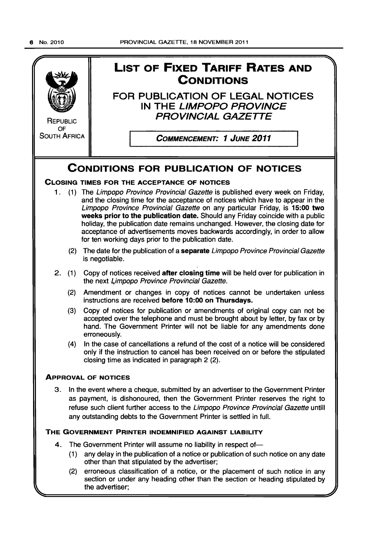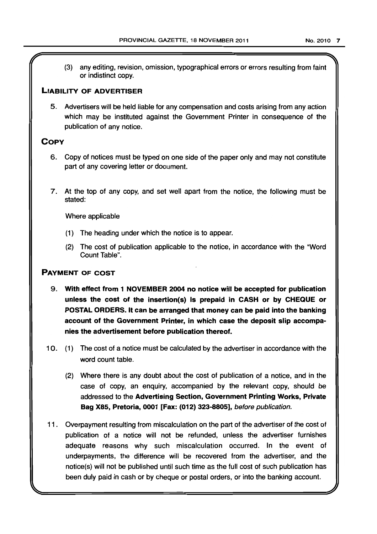(3) any editing, revision, omission, typographical errors or errors resulting from faint or indistinct copy.

## LIABILITY OF ADVERTISER

5. Advertisers will be held liable for any compensation and costs arising from any action which may be instituted against the Government Printer in consequence of the publication of any notice,

# **COPY**

- 6. Copy of notices must be typed on one side of the paper only and may not constitute part of any covering letter or document.
- 7. At the top of any copy, and set well apart from the notice, the following must be stated:

Where applicable

- (1) The heading under which the notice is to appear.
- (2) The cost of publication applicable to the notice, in accordance with the "Word Count Table",

# PAYMENT OF COST

- 9. With effect from 1 NOVEMBER 2004 no notice will be accepted for publication unless the cost of the insertion(s} is prepaid in CASH or by CHEQUE or POSTAL ORDERS. It can be arranged that money can be paid into the banking account of the Government Printer, in which case the deposit slip accompanies the advertisement before publication thereof.
- 10. (1) The cost of a notice must be calculated by the advertiser in accordance with the word count table.
	- (2) Where there is any doubt about the cost of publication of a notice, and in the case of copy, an enquiry, accompanied by the relevant copy, should be addressed to the Advertising Section, Government Printing Works, Private Bag X85, Pretoria, 0001 [Fax: (012) 323-8805], before publication.
- 11 . Overpayment resulting from miscalculation on the part of the advertiser of the cost of publication of a notice will not be refunded, unless the advertiser furnishes adequate reasons why such miscalculation occurred. In the event of underpayments, the difference will be recovered from the advertiser, and the notice(s) will not be published until such time as the full cost of such publication has been duly paid in cash or by cheque or postal orders, or into the banking account.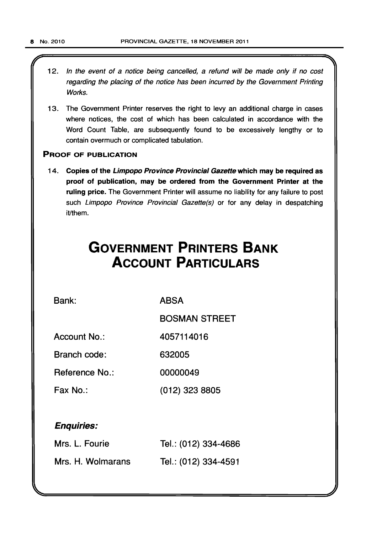- 12. In the event of a notice being cancelled, a refund will be made only if no cost regarding the placing of the notice has been incurred by the Government Printing Works.
- 13. The Government Printer reserves the right to levy an additional charge in cases where notices, the cost of which has been calculated in accordance with the Word Count Table, are subsequently found to be excessively lengthy or to contain overmuch or complicated tabulation.

#### PROOF OF PUBLICATION

14. Copies of the Limpopo Province Provincial Gazette which may be required as proof of publication, may be ordered from the Government Printer at the ruling price. The Government Printer will assume no liability for any failure to post such Limpopo Province Provincial Gazette(s) or for any delay in despatching it/them.

# **GOVERNMENT PRINTERS BANK ACCOUNT PARTICULARS**

Bank:

ABSA

BOSMAN STREET

Account No.: 4057114016

Branch code: 632005

Reference No.: 00000049

Fax No.: (012) 323 8805

# Enquiries:

| Mrs. L. Fourie    | Tel.: (012) 334-4686 |
|-------------------|----------------------|
| Mrs. H. Wolmarans | Tel.: (012) 334-4591 |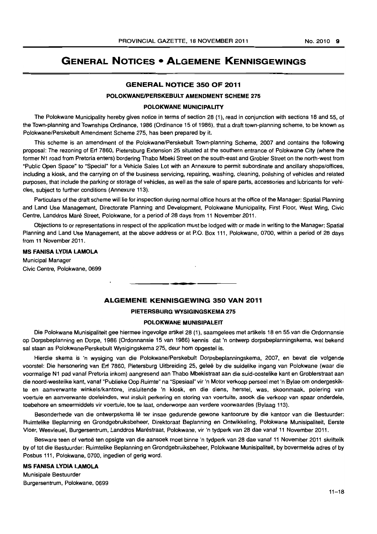# **GENERAL NOTICES • ALGEMENE KENNISGEWINGS**

#### **GENERAL NOTICE 350 OF 2011**

#### **POLOKWANEIPERSKEBULT AMENDMENT SCHEME 275**

#### **POLOKWANE MUNICIPALITY**

The Polokwane Municipality hereby gives notice in terms of section 28 (1), read in conjunction with sections 18 and 55, of the Town-planning and Townships Ordinance, 1986 (Ordinance 15 of 1986), that a draft town-planning scheme, to be known as Polokwane/Perskebult Amendment Scheme 275, has been prepared by it.

This scheme is an amendment of the Polokwane/Perskebult Town-planning Scheme, 2007 and contains the following proposal: The rezoning of Erf 7860, Pietersburg Extension 25 situated at the southern entrance of Polokwane City (where the former N1 road from Pretoria enters) bordering Thabo Mbeki Street on the south-east and Grobler Street on the north-west from "Public Open Space" to "Special" for a Vehicle Sales Lot with an Annexure to permit subordinate and ancillary shops/offices, including a kiosk, and the carrying on of the business servicing, repairing, washing, cleaning, polishing of vehicles and related purposes, that include the parking or storage of vehicles, as welt as the sale of spare parts, accessories and lubricants for vehicles, subject to further conditions (Annexure 113).

Particulars of the draft scheme will lie for inspection during normal office hours at the office of the Manager: Spatial Planning and Land Use Management, Directorate Planning and Development, Polokwane Municipality, First Floor, West Wing, Civic Centre, Landdros Mare Street, Polokwane, for a period of 28 days from 11 November 2011.

Objections to or representations in respect of the application must be lodged with or made in writing to the Manager: Spatial Planning and Land Use Management, at the above address or at P.O. Box 111, Polokwane, 0700, within a period of 28 days from **11** November 2011 .

#### **MS FANISA LYDIA LAMOLA**

Municipal Manager Civic Centre, Polokwane, 0699

#### **ALGEMENE KENNISGEWING 350 VAN 2011**

• **• •** 

#### **PIETERSBURG WYSIGINGSKEMA 275**

#### **POLOKWANE MUNISIPALEIT**

Die Polokwane Munisipaliteit gee hiermee ingevolge artikel 28 (1), saamgelees met artikels 18 en 55 van die Ordonnansie op Dorpsbeplanning en Dorpe, 1986 (Ordonnansie 15 van 1986) kennis dat 'n ontwerp dorpsbeplanningskema, wat bekend sal staan as Polokwane/Perskebult Wysigingskema 275, deur hom opgestel is.

Hierdie skema is 'n wysiging van die Polokwane/Perskebult Dorpsbeplanningskema, 2007, en bevat die volgende voorstel: Die hersonering van Erf 7860, Pietersburg Uitbreiding 25, gelee by die suidelike ingang van Polokwane (waar die voormalige N1 pad vanaf Pretoria inkom) aangresend aan Thabo Mbekistraat aan die suid-oostelike kant en Groblerstraat aan die noord-westelike kant, vanaf "Publieke Oop Ruimte" na "Spesiaal" vir 'n Motor verkoop perseel met 'n Bylae am ondergeskikte en aanverwante winkels/kantore, insluitende 'n kiosk, en die diens, herstel, was, skoonmaak, polering van voertuie en aanverwante doeleindes. wat insluit perkering en storing van voertuite. asook die verkoop van spaar onderdele, toebehore en smeermiddels vir voertuie, toe te laat, onderworpe aan verdere voorwaardes (Bylaag 113).

Besonderhede van die ontwerpskema lê ter insae gedurende gewone kantoorure by die kantoor van die Bestuurder: Ruimtelike Beplanning en Grondgebruiksbeheer, Direktoraat Beplanning en Ontwikkeling, Polokwane Munisipaliteit. Eerste Vloer, Wesvleuel, Burgersentrum. Landdros Marestraat, Polokwane, vir 'n tydperk van 28 dae vanaf 11 November 2011.

Besware teen of vertoe ten opsigte van die aansoek moet binne 'n tydperk van 28 dae vanaf 11 November 2011 skriftelik by of tot die Bestuurder: Ruimtelike Beplanning en Grondgebruiksbeheer, Polokwane Munisipaliteit. by bovermelde adres of by Posbus 111, Polokwane. 0700, ingedien of gerig word.

#### **MS FANISA LYDIA LAMOLA**  Munisipale Bestuurder

Burgersentrum, Polokwane, 0699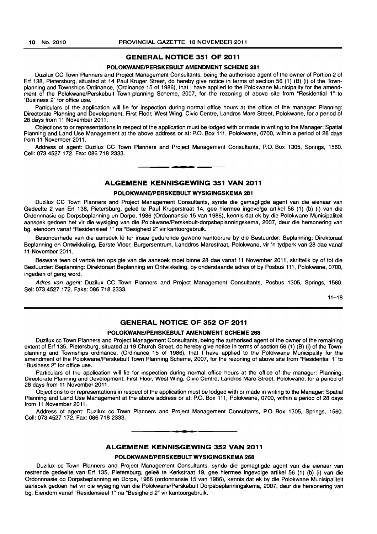#### **GENERAL NOTICE 351 OF 2011**

#### **POLOKWANEIPERSKEBULT AMENDMENT SCHEME 281**

Duzilux CC Town Planners and Project Management Consultants, being the authorised agent of the owner of Portion 2 of Erf 138, Pietersburg, situated at 14 Paul Kruger Street, do hereby give notice in terms of section 56 (1) (B) (i) of the Townplanning and Townships Ordinance, (Ordinance 15 of 1986), that I have applied to the Polokwane Municipality for the amendment of the Polokwane/Perskebult Town-planning Scheme, 2007, for the rezoning of above site from "Residential 1" to "Business 2" for office use.

Particulars of the application will lie for inspection during normal office hours at the office of the manager: Planning: Directorate Planning and Development, First Floor, West Wing, Civic Centre, Landros Mare Street, Polokwane, for a period of 28 days from 11 November 2011.

Objections to or representations in respect of the application must be lodged with or made in writing to the Manager: Spatial Planning and Land Use Management at the above address or at: P.O. Box 111, Polokwane, 0700, within a period of 28 days from 11 November 2011.

Address of agent: Duzilux CC Town Planners and Project Management Consultants, P.O. Box 1305, Springs, 1560. Cell: 0734527172. Fax: 086 718 2333. . **- .** 

#### **ALGEMENE KENNISGEWING 351 VAN 2011**

#### **POLOKWANEIPERSKEBULT WYSIGINGSKEMA 281**

Duzilux CC Town Planners and Project Management Consultants, synde die gemagtigde agent van die eienaar van Gedeelte 2 van Erf 138, Pietersburg, gelee te Paul Krugerstraat 14, gee hiermee ingevolge artikel 56 (1) (b) (i) van die Ordonnnasie op Dorpsbeplanning en Dorpe, 1986 (Ordonnansie 15 van 1986), kennis dat ek by die Polokwane Munisipaliteit aansoek gedoen het vir die wysiging van die Polokwane/Perskebult-dorpsbeplanningskema, 2007, deur die hersonering van bg. eiendom vanaf "Residensieel 1" na "Besigheid 2" vir kantoorgebruik.

Besonderhede van die aansoek lê ter insae gedurende gewone kantoorure by die Bestuurder: Beplanning: Direktoraat Beplanning en Ontwikkeling, Eerste Vloer, Burgersentrum, Landdros Marestraat, Polokwane, vir 'n tydperk van 28 dae vanaf 11 November 2011.

Besware teen of vertoë ten opsigte van die aansoek moet binne 28 dae vanaf 11 November 2011, skriftelik by of tot die Bestuurder: Beplanning: Direktoraat Beplanning en Ontwikkeling, by- onderstaande adres of by Posbus 111, Polokwane, 0700, ingedien of gerig word.

Adres van agent: Duzilux CC Town Planners and Project Management Consultants, Posbus 1305, Springs, 1560. Sel: 073 4527172. Faks: 086 718 2333.

 $11 - 18$ 

#### **GENERAL NOTICE OF 352 OF 2011**

#### **POLOKWANEIPERSKEBULT AMENDMENT SCHEME 268**

Duzilux cc Town Planners and Project Management Consultants, being the authorised agent of the owner of the remaining extent of Erf 135, Pietersburg, situated at 19 Church Street, do hereby give notice in terms of section 56 (1) (B) (i) of the Townplanning and Townships ordinance, (Ordinance 15 of 1986), that I have applied to the Polokwane Municipality for the amendment of the Polokwane/Perskebult Town Planning Scheme, 2007, for the rezoning of above site from "Residential 1" to "Business 2" for office use.

Particulars of the application will lie for inspection during normal office hours at the office of the manager: Planning: Directorate Planning and Development, First Floor, West Wing, Civic Centre, Landros Mare Street, Polokwane, for a period of 28 days from 11 November 2011.

Objections to or representations in respect of the application must be lodged with or made in writing to the Manager: Spatial Planning and Land Use Management at the above address or at: P.O. Box 111, Polokwane, 0700, within a period of 28 days from 11 November 2011.

Address of agent: Duzilux cc Town Planners and Project Management Consultants, P.O. Box 1305, Springs, 1560. Cell: 073 4527 172. Fax: 086 718 2333.

#### **ALGEMENE KENNISGEWING 352 VAN 2011**

**-**

#### **POLOKWANEIPERSKEBULT WYSIGINGSKEMA 268**

Duzilux cc Town Planners and Project Management Consultants, synde die gemagtigde agent van die eienaar van restrende gedeelte van Erf 135, Pietersburg, geleë te Kerkstraat 19, gee hiermee ingevolge artikel 56 (1) (b) (i) van die Ordonnnasie op Dorpsbeplanning en Dorpe, 1986 (ordonnansie 15 van 1986), kennis dat ek by die Polokwane Munisipaliteit aansoek gedoen het vir die wysiging van die Polokwane/Perskebult Dorpsbeplanningskema, 2007, deur die hersonering van bg. Eiendom vanaf "Residensieel 1" na "Besigheid 2" vir kantoorgebruik.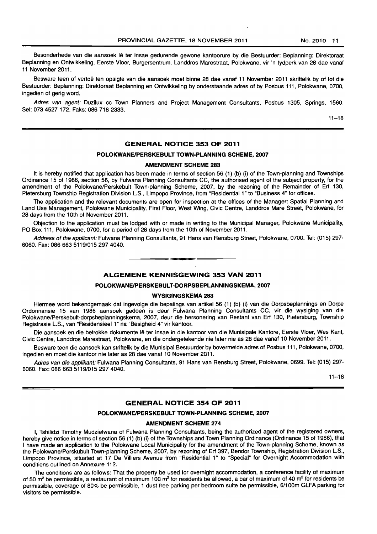Besonderhede van die aansoek lê ter insae gedurende gewone kantoorure by die Bestuurder: Beplanning: Direktoraat Beplanning en Ontwikkeling, Eerste Vloer, Burgersentrum, Landdros Marestraat, Polokwane, vir 'n tydperk van 28 dae vanaf 11 November 2011.

Besware teen of vertoe ten opsigte van die aansoek moet binne 28 dae vanaf 11 November 2011 skriftelik by of tot die Bestuurder: Beplanning: Direktoraat Beplanning en Ontwikkeling by onderstaande adres of by Posbus 111, Polokwane, 0700, ingedien of gerig word.

Adres van agent: Duzilux cc Town Planners and Project Management Consultants, Posbus 1305, Springs, 1560. Sel: 073 4527 172. Faks: 086 718 2333.

 $11 - 18$ 

#### **GENERAL NOTICE 353 OF 2011**

#### **POLOKWANEIPERSKEBULT TOWN-PLANNING SCHEME, 2007**

#### **AMENDMENT SCHEME 283**

It is hereby notified that application has been made in terms of section 56 (1) (b) (i) of the Town-planning and Townships Ordinance 15 of 1986, section 56, by Fulwana Planning Consultants CC, the authorised agent of the subject property, for the amendment of the Polokwane/Perskebult Town-planning Scheme, 2007, by the rezoning of the Remainder of Erf 130, Pietersburg Township Registration Division L.S., Limpopo Province, from "Residential 1" to "Business 4" for offices.

The application and the relevant documents are open for inspection at the offices of the Manager: Spatial Planning and Land Use Management, Polokwane Municipality, First Floor, West Wing, Civic Centre, Landdros Mare Street, Polokwane, for 28 days from the 10th of November 2011.

Objection to the application must be lodged with or made in writing to the Municipal Manager, Polokwane Municipality, PO Box 111, Polokwane, 0700, for a period of 28 days from the 10th of November 2011.

Address of the applicant: Fulwana Planning Consultants, 91 Hans van Rensburg Street, Polokwane, 0700. Tel: (015) 297- 6060. Fax: 086 663 5119/015 297 4040. . **- .** 

#### **ALGEMENE KENNISGEWING 353 VAN 2011**

#### **POLOKWANEIPERSKEBULT-DORPSBEPLANNINGSKEMA, 2007**

#### **WYSIGINGSKEMA 283**

Hiermee word bekendgemaak dat ingevolge die bepalings van artikel 56 (1) (b) (i) van die Dorpsbeplannings en Dorpa Ordonnansie 15 van 1986 aansoek gedoen is deur Fulwana Planning Consultants CC, vir die wysiging van die Polokwane/Perskebult-dorpsbeplanningskema, 2007, deur die hersonering van Restant van Erf 130, Pietersburg, Township Registrasie L.S., van "Residensieel 1" na "Besigheid 4" vir kantoor.

Die aansoek en die betrokke dokumente Iê ter insae in die kantoor van die Munisipale Kantore, Eerste Vloer, Wes Kant, Civic Centre, Landdros Marestraat, Polokwane, en die ondergetekende nie later nie as 28 dae vanaf 10 November 2011.

Besware teen die aansoek kan striftelik by die Munisipal Bestuurder by bovermelde adres of Posbus 111, Polokwane, 0700, ingedien en moet die kantoor nie later as 28 dae vanaf 10 November 2011.

Adres van die applikant: Fulwana Planning Consultants, 91 Hans van Rensburg Street, Polokwane, 0699. Tel: (015) 297- 6060. Fax: 086 663 5119/015 297 4040.

 $11 - 18$ 

#### **GENERAL NOTICE 354 OF 2011**

#### **POLOKWANEIPERSKEBULT TOWN-PLANNING SCHEME, 2007**

#### **AMENDMENT SCHEME 274**

I, Tshilidzi Timothy Mudzielwana of Fulwana Planning Consultants, being the authorized agent of the registered owners, hereby give notice in terms of section 56 (1) (b) (i) of the Townships and Town Planning Ordinance (Ordinance 15 of 1986), that I have made an application to the Polokwane Local Municipality for the amendment of the Town-planning Scheme, known as the Polokwane/Perskubult Town-planning Scheme, 2007, by rezoning of Erf 397, Bendor Township, Registration Division L.S., Limpopo Province, situated at 17 De Villiers Avenue from "Residential 1" to "Special" for Overnight Accommodation with conditions outlined on Annexure 112.

The conditions are as follows: That the property be used for overnight accommodation, a conference facility of maximum of 50  $m^2$  be permissible, a restaurant of maximum 100  $m^2$  for residents be allowed, a bar of maximum of 40  $m^2$  for residents be permissible, coverage of 80% be permissible, 1 dust free parking per bedroom suite be permissible, 6/100m GLFA parking for visitors be permissible.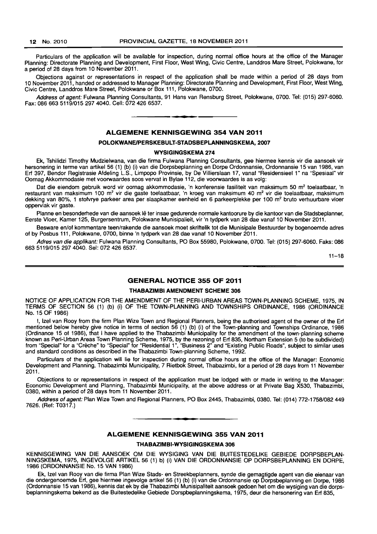Particulars of the application will be available for inspection, during normal office hours at the office of the Manager Planning: Directorate Planning and Development, First Floor, West Wing, Civic Centre, Landdros Mare Street, Polokwane, for a period of 28 days from 10 November 2011.

Objections against or representations in respect of the application shall be made within a period of 28 days from 10 November 2011, handed or addressed to Manager Planning: Directorate Planning and Development, First Floor, West Wing, Civic Centre, Landdros Mare Street, Polokwane or Box 111, Polokwane, 0700.

Address of agent: Fulwana Planning Consultants, 91 Hans van Rensburg Street, Polokwane, 0700. Tel: (015) 297-6060. Fax: 086 663 5119/015 297 4040. Cell: 0724266537.

**-**

#### ALGEMENE KENNISGEWING 354 VAN 2011

#### POLOKWANEJPERSKEBULT-STADSBEPLANNINGSKEMA, 2007

#### WYSIGINGSKEMA 274

Ek, Tshilidzi Timothy Mudzielwana, van die firma Fulwana Planning Consultants, gee hiermee kennis vir die aansoek vir hersonering in terme van artikel 56 (1) (b) (i) van die Dorpsbeplanning en Dorpe Ordonnansie, Ordonnansie 15 van 1986, van Erf 397, Bendor Registrasie Afdeling L.S., Limpopo Provinsie, by De Villierslaan 17, vanaf "Residensieel 1" na "Spesiaal" vir Oornag Akkommodasie met voorwaardes soos vervat in Bylae 112, die voorwaardes is as volg:

Dat die eiendom gebruik word vir oornag akkommodasie, 'n konferensie fasiliteit van maksimum 50 m<sup>2</sup> toelaatbaar, 'n restaurant van maksimum 100 m<sup>2</sup> vir die gaste toelaatbaar, 'n kroeg van maksimum 40 m<sup>2</sup> vir die toelaatbaar, maksimum dekking van 80%, 1 stofvrye parkeer area per slaapkamer eenheid en 6 parkeerplekke per 100 m<sup>2</sup> bruto verhuurbare vloer oppervlak vir gaste.

Planne en besonderhede van die aansoek lê ter insae gedurende normale kantoorure by die kantoor van die Stadsbeplanner, Eerste Vloer, Kamer 125, Burgersentrum, Polokwane Munisipalieit, vir 'n tydperk van 28 dae vanaf 10 November 2011.

Besware en/of kommentare teen/rakende die aansoek moet skriftelik tot die Munisipale Bestuurder by bogenoemde adres of by Posbus 111, Polokwane, 0700, binne 'n tydperk van 28 dae vanaf 10 November 2011.

Adres van die applikant: Fulwana Planning Consultants, PO Box 55980, Polokwane, 0700. Tel: (015) 297-6060. Faks: 086 6635119/0152974040. Sel: 072 426 6537.

11-18

#### GENERAL NOTICE 355 OF 2011

#### THABAZIMBI AMENDMENT SCHEME 306

NOTICE OF APPLICATION FOR THE AMENDMENT OF THE PERI-URBAN AREAS TOWN-PLANNING SCHEME, 1975, IN TERMS OF SECTION 56 (1) (b) (i) OF THE TOWN-PLANNING AND TOWNSHIPS ORDINANCE, 1986 (ORDINANCE No. 15 OF 1986)

I, Izel van Rooy from the firm Plan Wize Town and Regional Planners, being the authorised agent of the owner of the Erf mentioned below hereby give notice in terms of section 56 (1) (b) (i) of the Town-planning and Townships Ordinance, 1986 (Ordinance 15 of 1986), that I have applied to the Thabazimbi Municipality for the amendment of the town-planning scheme known as Peri-Urban Areas Town Planning Scheme, 1975, by the rezoning of Erf 835, Northam Extension 5 (to be subdivided) from "Special" for a "Creche" to "Special" for "Residential 1", "Business 2" and "Existing Public Roads", subject to similar uses and standard conditions as described in the Thabazimbi Town-planning Scheme, 1992.

Particulars of the application will lie for inspection during normal office hours at the office of the Manager: Economic Development and Planning, Thabazimbi Municipality, 7 Rietbok Street, Thabazimbi, for a period of 28 days from 11 November 2011.

Objections to or representations in respect of the application must be lodged with or made in writing to the Manager: Economic Development and Planning, Thabazimbi Municipality, at the above address or at Private Bag X530, Thabazimbi, 0380, within a period of 28 days from 11 November 2011.

Address of agent: Plan Wize Town and Regional Planners, PO Box 2445, Thabazimbi, 0380. Tel: (014) 772-1758/082449 7626. (Ref: T0317.)

**• •** 

#### ALGEMENE KENNISGEWING 355 VAN 2011

#### THABAZIMBI-WYSIGINGSKEMA 306

KENNISGEWING VAN DIE AANSOEK OM DIE WYSIGING VAN DIE BUITESTEDELIKE GEBIEDE DORPSBEPLAN-NINGSKEMA, 1975, INGEVOLGE ARTIKEL 56 (1) b) (i) VAN DIE ORDONNANSIE OP DORPSBEPLANNING EN DORPE, 1986 (ORDONNANSIE No. 15 VAN 1986)

Ek, Izel van Rooy van die firma Plan Wize Stads- en Streekbeplanners, synde die gemagtigde agent van die eienaar van die ondergenoemde Erf, gee hiermee ingevolge artikel 56 (1) (b) (i) van die Ordonnansie op Dorpsbeplanning en Dorpe, 1986 (Ordonnansie 15 van 1986), kennis dat ek by die Thabazimbi Munisipaliteit aansoek gedoen het om die wysiging van die dorpsbeplanningskema bekend as die Buitestedelike Gebiede Dorspbeplanningskema, 1975, deur die hersonering van Erf 835,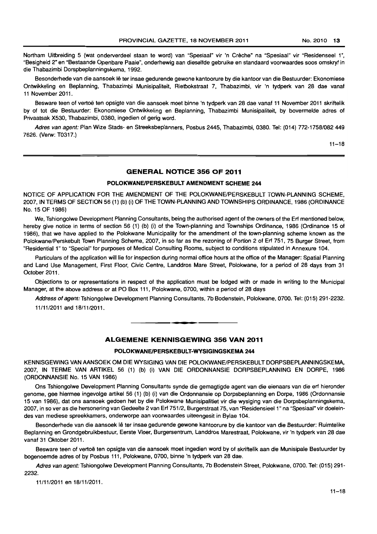Northam Uitbreiding 5 (wat onderverdeel staan te word) van "Spesiaal" vir 'n Creche" na "Spesiaal" vir "Residenseel 1", "Besigheid 2" en "Bestaande Openbare Paaie", onderhewig aan dieselfde gebruike en standaard voorwaardes soos omskryf in die Thabazimbi Dorspbeplanningskema, 1992.

Besonderhede van die aansoek lê ter insae gedurende gewone kantoorure by die kantoor van die Bestuurder: Ekonomiese Ontwikkeling en Beplanning, Thabazimbi Munisipaliteit, Rietbokstraat 7, Thabazimbi, vir 'n tydperk van 28 dae vanaf 11 November 2011.

Besware teen of vertoe ten opsigte van die aansoek moet binne 'n tydperk van 28 dae vanaf 11 November 2011 skriftelik by of tot die Bestuurder: Ekonomiese Ontwikkeling en Beplanning, Thabazimbi Munisipaliteit, by bovermelde adres of Privaatsak X530, Thabazimbi, 0380, ingedien of gerig word.

Adres van agent: Plan Wize Stads- en Streeksbeplanners, Posbus 2445, Thabazimbi, 0380. Tel: (014) 772-1758/082449 7626. (Verw: T0317.)

11-18

#### **GENERAL NOTICE 356 OF 2011**

#### **POLOKWANEIPERSKEBULT AMENDMENT SCHEME 244**

NOTICE OF APPLICATION FOR THE AMENDMENT OF THE POLOKWANE/PERSKEBULT TOWN-PLANNING SCHEME, 2007, IN TERMS OF SECTION 56 (1) (b) (i) OF THE TOWN-PLANNING AND TOWNSHIPS ORDINANCE, 1986 (ORDINANCE No. 15 OF 1986)

We, Tshiongolwe Development Planning Consultants, being the authorised agent of the owners of the Ert mentioned below, hereby give notice in terms of section 56 (1) (b) (i) of the Town-planning and Townships Ordinance, 1986 (Ordinance 15 of 1986), that we have applied to the Polokwane Municipality for the amendment of the town-planning scheme known as the Polokwane/Perskebult Town Planning Scheme, 2007, in so far as the rezoning of Portion 2 of Ert 751, 75 Burger Street, from "Residential'" to "Special" for purposes of Medical Consulting Rooms, subject to conditions stipulated in Annexure 1 04.

Particulars of the application will lie for inspection during normal office hours at the office of the Manager: Spatial Planning and Land Use Management, First Floor, Civic Centre, Landdros Mare Street, Polokwane, for a period of 28 days from 31 October 2011.

Objections to or representations in respect of the application must be lodged with or made in writing to the Municipal Manager, at the above address or at PO Box 111, Polokwane, 0700, within a period of 28 days

Address of agent: Tshiongolwe Development Planning Consultants, 7b Bodenstein, Polokwane, 0700. Tel: (015) 291-2232. 11/11/2011 and 18/11/2011.

**• •** 

#### **ALGEMENE KENNISGEWING 356 VAN 2011**

#### **POLOKWANEIPERSKEBULT-WYSIGINGSKEMA 244**

KENNISGEWING VAN AANSOEK OM DIE WYSIGING VAN DIE POLOKWANE/PERSKEBULT DORPSBEPLANNINGSKEMA, 2007, IN TERME VAN ARTIKEL 56 (1) (b) (i) VAN DIE ORDONNANSIE DORPSBEPLANNING EN DORPE, 1986 (ORDONNANSIE No. 15 VAN 1986)

Ons Tshiongolwe Development Planning Consultants synde die gemagtigde agent van die eienaars van die ert hieronder genome, gee hiermee ingevolge artikel 56 (1) (b) (i) van die Ordonnansie op Dorpsbeplanning en Dorpe, 1986 (Ordonnansie 15 van 1986), dat ons aansoek gedoen het by die Polokwane Munisipalitiet vir die wysiging van die Dorpsbeplanningskema, 2007, in so ver as die hersonering van Gedeelte 2 van Ert 751/2, Burgerstraat 75, van "Residensieel 1" na "Spesiaal" vir doeleindes van mediese spreekkamers, onderworpe aan voorwaardes uiteengesit in Bylae 104.

Besonderhede van die aansoek Ie ter insae gedurende gewone kantoorure by die kantoor van die Bestuurder: Ruimtelike Beplanning en Grondgebruikbestuur, Eerste Vloer, Burgersentrum, landdros Marestraat, Polokwane, vir 'n tydperk van 28 dae vanaf 31 Oktober 2011.

Besware teen of vertoë ten opsigte van die aansoek moet ingedien word by of skriftelik aan die Munisipale Bestuurder by bogenoemde adres of by Posbus 111, Polokwane, 0700, binne 'n tydperk van 28 dae.

Adres van agent: Tshiongolwe Development Planning Consultants, 7b Bodenstein Street, Polokwane, 0700. Tel: (015) 291-2232.

11/1112011 en 18/11/2011.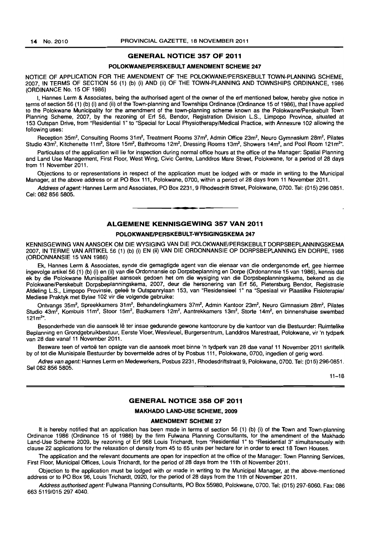#### GENERAL NOTICE 357 OF 2011

#### POLOKWANE/PERSKEBULT AMENDMENT SCHEME 247

NOTICE OF APPLICATION FOR THE AMENDMENT OF THE POLOKWANE/PERSKEBULT TOWN-PLANNING SCHEME. 2007, IN TERMS OF SECTION 56 (1) (b) (i) AND (ii) OF THE TOWN-PLANNING AND TOWNSHIPS ORDINANCE, 1986 (ORDINANCE No. 15 OF 1986)

I, Hannes Lerm & Associates, being the authorised agent of the owner of the ert mentioned below, hereby give notice in terms of section 56 (1) (b) (i) and (ii) of the Town-planning and Townships Ordinance (Ordinance 15 of 1986), that I have applied to the Polokwane Municipality for the amendment of the town-planning scheme known as the Polokwane/Perskebult Town Planning Scheme, 2007, by the rezoning of Ert 56, Bendor, Registration Division L.S., Limpopo Province, situated at 153 Outspan Drive, from "Residential 1" to "Special for Local Physiotherapy/Medical Practice, with Annexure 102 allowing the following uses:

Reception 35m<sup>2</sup>, Consulting Rooms 31m<sup>2</sup>, Treatment Rooms 37m<sup>2</sup>, Admin Office 23m<sup>2</sup>, Neuro Gymnasium 28m<sup>2</sup>, Pilates Studio 43m<sup>2</sup>, Kitchenette 11m<sup>2</sup>, Store 15m<sup>2</sup>, Bathrooms 12m<sup>2</sup>, Dressing Rooms 13m<sup>2</sup>, Showers 14m<sup>2</sup>, and Pool Room 121m<sup>2</sup>".

Particulars of the application will lie for inspection during normal office hours at the office of the Manager: Spatial Planning and Land Use Management, First Floor, West Wing, Civic Centre, Landdros Mare Street, Polokwane, for a period of 28 days from 11 November 2011.

Objections to or representations in respect of the application must be lodged with or made in writing to the Municipal Manager, at the above address or at PO Box 111, Polokwane, 0700, within a period of 28 days from 11 November 2011.

Address of agent: Hannes Lerm and Associates, PO Box 2231, 9 Rhodesdrift Street, Polokwane, 0700, Tel: (015) 296 0851. Cel: 082 856 5805.

#### ALGEMENE KENNISGEWING 357 VAN 2011

• **• I** 

#### POLOKWANE/PERSKEBULT-WYSIGINGSKEMA 247

KENNISGEWING VAN AANSOEK OM DIE WYSIGING VAN DIE POLOKWANE/PERSKEBULT DORPSBEPLANNINGSKEMA 2007, IN TERME VAN ARTIKEL 56 (1) (b) (i) EN (ii) VAN DIE ORDONNANSIE OP DORPSBEPLANNING EN DORPE, 1986 (ORDONNANSIE 15 VAN 1986)

Ek, Hannes Lerm & Associates, synde die gemagtigde agent ·van die eienaar van die ondergenomde ert, gee hiermee ingevolge artikel 56 (1) (b) (i) en (li) van die Ordonnansie op Dorpsbeplanning en Dorpa (Ordonannsie 15 van 1986), kennis dat ek by die Polokwane Munisipalitiet aansoek gedoen het om die wysiging van die Dorpsbeplanningskema, bekend as die Polokwane/Perskebult Dorpsbeplanningskema, 2007, deur die hersonering van Erf 56, Pietersburg Bendor, Registrasie Afdeling L.S., Limpopo Provinsie, geleë te Outspanrylaan 153, van "Residensieel 1" na "Spesiaal vir Plaaslike Fisioterapie/ Mediese Praktyk met Bylae 102 vir die volgende gebruike:

Ontvangs 35m<sup>2</sup>, Spreekkamers 31m<sup>2</sup>, Behandelingkamers 37m<sup>2</sup>, Admin Kantoor 23m<sup>2</sup>, Neuro Gimnasium 28m<sup>2</sup>, Pilates Studio 43m<sup>2</sup>, Kombuis 11m<sup>2</sup>, Stoor 15m<sup>2</sup>, Badkamers 12m<sup>2</sup>, Aantrekkamers 13m<sup>2</sup>, Storte 14m<sup>2</sup>, en binnenshuise swembad  $121 m<sup>2</sup>$ 

Besonderhede van die aansoek Ie ter insae gedurende gewone kantoorure by die kantoor van die Bestuurder: Ruimtelike Beplanning en Grondgebruikbestuur. Eerste Vloer, Wesvleuel, Burgersentrum, Landdros Marestraat, Polokwane, vir 'n tydperk van 28 dae vanaf 11 November 2011.

Besware teen of vertoë ten opsigte van die aansoek moet binne 'n tydperk van 28 dae vanaf 11 November 2011 skriftelik by of tot die Munisipale Bestuurder by bovermelde adres of by Posbus 111, Polokwane, 0700, ingedien of gerig word.

Adres van agent: Hannes Lerm en Medewerkers, Posbus 2231, Rhodesdriftstraat 9, Polokwane, 0700. Tel: (015) 296-0851. Sel 082 856 5805.

 $11 - 18$ 

#### GENERAL NOTICE 358 OF 2011

#### MAKHADO LAND-USE SCHEME, 2009

#### AMENDMENT SCHEME 27

It is hereby notified that an application has been made in terms of section 56 (1) (b) (i) of the Town and Town-planning Ordinance 1986 (Ordinance 15 of 1986) by the firm Fulwana Planning Consultants, for the amendment of the Makhado Land-Use Scheme 2009, by rezoning of Erf 968 Louis Trichardt, from "Residential 1" to "Residential 3" simultaneously with clause 22 applications for the relaxation of density from 45 to 65 units per hectare for in order to erect 18 Town Houses.

The application and the relevant documents are open for inspection at the office of the Manager: Town Planning Services, First Floor, Municipal Offices, Louis Trichardt, for the period of 28 days from the 11th of November 2011.

Objection to the application must be lodged with or made in writing to the Municipal Manager, at the above-mentioned address or to PO Box 96, Louis Trichardt, 0920, for the period of 28 days from the 11th of November 2011.

Address authorised agent: Fulwana Planning Consultants, PO Box 55980, Polokwane, 0700. Tel: (015) 297-6060. Fax: 086 6635119/0152974040.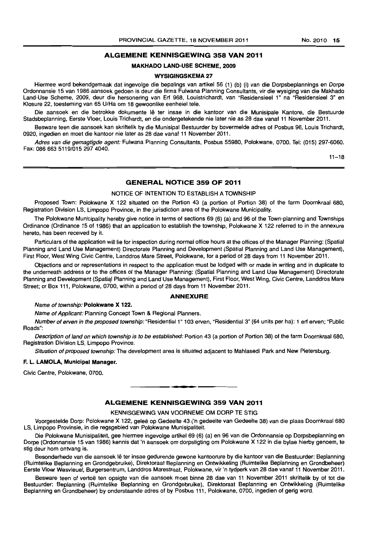#### ALGEMENE KENNISGEWING 358 VAN 2011

#### MAKHADO LAND-USE SCHEME, 2009

#### WYSIGINGSKEMA 27

Hiermee word bekendgemaak dat ingevolge die bepalings van artikel 56 (1) (b) (i) van die Dorpsbeplannings en Dorpe Ordonnansie 15 van 1986 aansoek gedoen is deur die firma Fulwana Planning Consultants, vir die wysiging van die Makhado Land-Use Scheme, 2009, deur die hersonering van Erf 968, Louistrichardt, van "Residensieel 1" na "Residensieel 3" en Klosure 22, toesteming van 65 u/Ha om 18 gewoonlike eenheiel tele.

Die aansoek en die betrokke dokumente lê ter insae in die kantoor van die Munisipale Kantore, die Bestuurde Stadsbeplanning. Eerste Vloer, Louis Trichardt, en die ondergetekende nie later nie as 28 dae vanaf 11 November 2011.

Besware teen die aansoek kan skriftelik by die Munisipal Bestuurder by bovermelde adres of Posbus 96, Louis Trichardt, 0920, ingedien en moet die kantoor nie later as 28 dae vanaf 11 November 2011.

Adres van die gemagtigde agent: Fulwana Planning Consultants, Posbus 55980, Polokwane, 0700. Tel: (015) 297-6060. Fax: 086 663 5119/015 297 4040.

 $11 - 18$ 

#### GENERAL NOTICE 359 OF 2011

#### NOTICE OF INTENTION TO ESTABLISH A TOWNSHIP

Proposed Town: Polokwane X 122 situated on the Portion 43 (a portion of Portion 38) of the farm Doornkraal 680. Registration Division LS, Limpopo Province, in the jurisdiction area of the Polokwane Municipality.

The Polokwane Municipality hereby give notice in terms of sections 69 (6) (a) and 96 of the Town-planning and Townships Ordinance (Ordinance 15 of 1986) that an application to establish the township, Polokwane X 122 referred to in the annexure hereto, has been received by it.

Particulars of the application will lie for inspection during normal office hours at the offices of the Manager Planning: (Spatial Planning and Land Use Management) Directorate Planning and Development (Spatial Planning and Land Use Management). First Roor, West Wing Civic Centre, Landdros Mare Street, Polokwane. for a period of 28 days from 11 November 2011.

Objections and or representations in respect to the application must be lodged with or made in writing and in duplicate to the underneath address or to the offices of the Manager Planning: (Spatial Planning and Land Use Management) Directorate Planning and Development (Spatial Planning and Land Use Management), First Floor. West Wing. Civic Centre, Landdros Mare Street; or Box 111, Polokwane, 0700, within a period of 28 days from 11 November 2011.

#### ANNEXURE

#### Name of township: Polokwane X 122.

Name of Applicant: Planning Concept Town & Regional Planners.

Number of erven in the proposed township: "Residential 1" 103 erven, "Residential 3" (64 units per ha): 1 erf erven; "Public Roads":

Description of land on which township is to be established: Portion 43 (a portion of Portion 38) of the farm Doornkraal 680, Registration Division LS. Limpopo Province.

Situation of proposed township: The development area is situated adiacent to Mahlasedi Park and New Pietersburg.

#### F. L. LAMOLA, Municipal Manager.

Civic Centre, Polokwane, 0700.

#### ALGEMENE KENNISGEWING 359 VAN 2011

. **-.** 

KENNISGEWING VAN VOORNEME OM DORP TE STIG

Voorgestelde Dorp: Polokwane X 122, gelee op Gedeelte 43 ('n gedeelte van Gedeelte 38) van die plaas Doornkraal 680 LS, limpopo Provinsie, in die regsgebied van Polokwane Munisipaliteit.

Die Polokwane Munisipaliteit, gee hiermee ingevolge artikel 69 (6) (a) en 96 van die Ordonnansie op Dorpsbeplanning en Dorpe (Ordonnansie 15 van 1986) kennis dat 'n aansoek om dorpstigting om Polokwane X 122 in die bylae hierby genoem. te stig deur hom ontvang is.

Besonderhede van die aansoek Iê ter insae gedurende gewone kantoorure by die kantoor van die Bestuurder: Beplanning (Ruimtelike Beplanning en Grondgebruike), Direktoraat Beplanning en Ontwikkeling (Ruimtelike Beplanning en Grondbeheer) Eerste Vloer Wesvleuel, Burgersentrum, Landdros Marestraat, Polokwane, vir 'n tydperk van 28 dae vanaf 11 November 2011.

Besware teen of vertoë ten opsigte van die aansoek moet binne 28 dae van 11 November 2011 skriftelik by of tot die Bestuurder: Beplanning (Ruimtelike Beplanning en Grondgebruike), Direktoraat Beplanning en Ontwikkeling (Ruimtelike Beplanning en Grondbeheer) by onderstaande adres of by Posbus 111, Polokwane, 0700, ingedien of gerig word.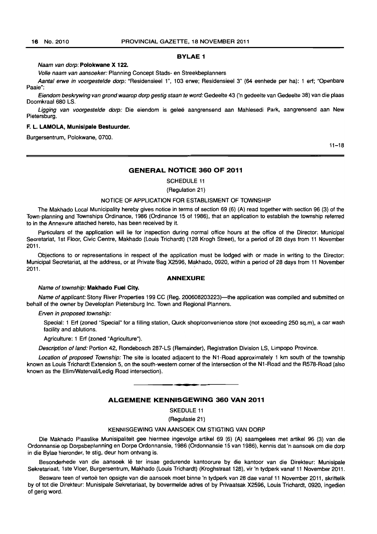#### BYLAE 1

#### Naam van dorp: Polokwane X 122.

Volle naam van aansoeker: Planning Concept Stads- en Streekbeplanners

Aantal erwe in voorgestelde dorp: "Residensieel 1", 103 erwe; Residensieel 3" (64 eenhede per ha): 1 ert; "Openbare Paaie":

Eiendom beskrywing van grond waarop dorp gestig staan te word: Gedeelte 43 ('n gedeelte van Gedeelte 38) van die plaas Doomkraal 680 LS.

Ligging van voorgestelde dorp: Die eiendom is geleë aangrensend aan Mahlesedi Park, aangrensend aan New Pietersburg.

#### F. L. LAMOLA, Munislpale Bestuurder.

Burgersentrum, Polokwane, 0700.

11-18

#### GENERAL NOTICE 360 OF 2011

SCHEDULE 11

(Regulation 21)

#### NOTICE OF APPLICATION FOR ESTABLISMENT OF TOWNSHIP

The Makhado Local Municipality hereby gives notice in terms of section 69 (6) (A) read together with section 96 (3) of the Town-planning and Townships Ordinance, 1986 (Ordinance 15 of 1986), that an application to establish the township referred to in the Annexure attached hereto, has been received by it.

Particulars of the application will lie for inspection during normal office hours at the office of the Director: Municipal Secretariat, 1st Floor, Civic Centre, Makhado (Louis Trichardt) (128 Krogh Street), for a period of 28 days from 11 November 2011.

Objections to or representations in respect of the application must be lodged with or made in writing to the Director: Municipal Secretariat, at the address, or at Private Bag X2596, Makhado, 0920, within a period of 28 days from 11 November **2011.**  $\qquad \qquad \frac{1}{2}$ 

#### ANNEXURE

#### Name of township: Makhado Fuel City.

Name of applicant: Stony River Properties 199 CC (Reg. 200608203223)—the application was compiled and submitted on behalf of the owner by Developlan Pietersburg Inc. Town and Regional Planners.

#### Erven in proposed township:

Special: 1 Erf (zoned "Special" for a filling station, Quick shop/convenience store (not exceeding 250 sq.m), a car wash facility and ablutions.

Agriculture: 1 Ert (zoned "Agriculture").

Description of land: Portion 42, Rondebosch 287-LS (Remainder), Registration Division LS, Limpopo Province.

Location of proposed Township: The site is located adjacent to the N1-Road approximately 1 km south of the township known as Louis Trichardt Extension 5, on the south-westem corner of the intersection of the Nl-Road and the R578-Road (also known as the Elim/Waterval/Ledig Road intersection). **. -**

#### ALGEMENE KENNISGEWING 360 VAN 2011

SKEDULE 11

(Regulasie 21)

#### KENNISGEWING VAN AANSOEK OM STIGTING VAN DORP

Die Makhado Plaaslike Munisipaliteit gee hiermee ingevolge artikel 69 (6) (A) saamgelees met artikel 96 (3) van die Ordonnansie op Dorpsbeplanning en Dorpa Ordonnansie, 1986 (Ordonnansie 15 van 1986), kennis dat 'n aansoek am die dorp in die Bylae hieronder, te stig, deur hom ontvang is.

Besonderhede van die aansoek lê ter insae gedurende kantoorure by die kantoor van die Direkteur: Munisipale Sekretariaat, lste Vloer, Burgersentrum, Makhado (Louis Trichardt) (Kroghstraat 128), vir 'n tydperk vanaf 11 November 2011.

Besware teen of vertoë ten opsigte van die aansoek moet binne 'n tydperk van 28 dae vanaf 11 November 2011, skriftelik by of tot die Direkteur: Munisipale Sekretariaat, by bovermelde adres of by Privaatsak X2596, Louis Trichardt, 0920, ingedien of gerig word.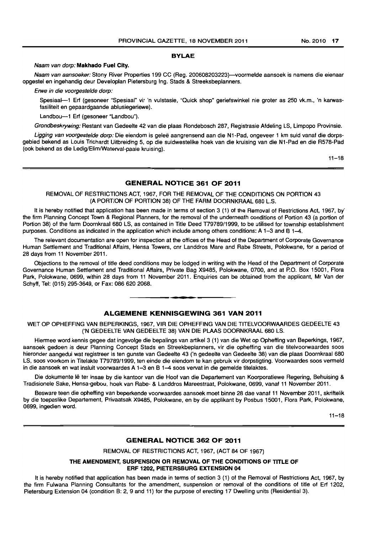#### **BYLAE**

#### Naam van dorp: **Mskhsdo Fuel** City.

Naam van aansoeker: Stony River Properties 199 CC (Reg. 200608203223)-voormelde aansoek is namens die eienaar opgestel en ingehandig deur Developlan Pietersburg Ing. Stads & Streeksbeplanners.

Erwe in die voorgestelde dorp:

Spesiaal--1 Erf (gesoneer "Spesiaal" vir 'n vulstasie, "Quick shop" geriefswinkel nie groter as 250 vk.m., 'n karwasfasiliteit en gepaardgaande ablusiegeriewe).

Landbou-1 Erf (gesoneer "Landbou").

Grondbeskrywing: Restant van Gedeelte 42 van die plaas Rondebosch 287, Registrasie Afdeling LS, Limpopo Provinsie.

Ligging van voorgestelde dorp: Die eiendom is geleë aangrensend aan die N1-Pad, ongeveer 1 km suid vanaf die dorpsgebied bekend as Louis Trichardt Uitbreiding 5, op die suidwestelike hoek van die kruising van die N1-Pad en die R578-Pad (ook bekend as die Ledig/Elim/Waterval-paaie kruising).

 $11 - 18$ 

#### **GENERAL NOTICE 361 OF 2011**

#### REMOVAL OF RESTRICTIONS ACT, 1967, FOR THE REMOVAL OF THE CONDITIONS ON PORTION 43 (A PORTION OF PORTION 38) OF THE FARM DOORNKRAAL 680 L.S.

It is hereby notified that application has been made in terms of section 3 (1) of the Removal of Restrictions Act. 1967. by' the firm Planning Concept Town & Regional Planners, for the removal of the underneath conditions of Portion 43 (a portion of Portion 38) of the farm Doornkraal 680 LS, as contained in Title Deed T79789/1999, to be utilised for township establishment purposes. Conditions as indicated in the application which include among others conditions: A 1-3 and B 1-4.

The relevant documentation are open for inspection at the offices of the Head of the Department of Corporate Governance Human Settlement and Traditional Affairs, Hensa Towers, cnr Landdros Mare and Rabe Streets, Polokwane, for a period of 28 days from 11 November 2011.

Objections to the removal of title deed conditions may be lodged in writing with the Head of the Department of Corporate Governance Human Settlement and Traditional Affairs. Private Bag X9485. Polokwane, 0700, and at P.O. Box 15001, Flora Park, Polokwane, 0699, within 28 days from 11 November 2011. Enquiries can be obtained from the applicant, Mr Van der Schyff. Tel: (015) 295-3649, or Fax: 086 620 2068. . **-.** 

#### **ALGEMENE KENNISGEWING 361 VAN 2011**

WET OP OPHEFFING VAN BEPERKINGS, 1967, VIR DIE OPHEFFING VAN DIE TITELVOORWAARDES GEDEELTE 43 ('N GEDEELTE VAN GEDEELTE 38) VAN DIE PLAAS DOORNKRAAL 680 LS.

Hiermee word kennis gegee dat ingevolge die bepalings van artikel3 (1) van die Wet op Opheffing van Beperkings, 1967, aansoek gedoen is deur Planning Concept Stads en Streekbeplanners. vir die opheffing van die titelvoorwaardes soos hieronder aangedui wat registreer is ten gunste van Gedeelte 43 ('n gedeelte van Gedeelte 38) van die plaas Doornkraal 680 LS, soos voorkom in litelakte T79789/1999, ten einde die eiendom te kan gebruik vir dorpstigting. Voorwaardes soos vermeld in die aansoek en wat insluit voorwaardes A 1-3 en B 1-4 soos vervat in die gemelde titelaktes.

Die dokumente lê ter insae by die kantoor van die Hoof van die Departement van Koorporatiewe Regering, Behuising & Tradisionele Sake, Hensa-gebou, hoek van Rabe- & Landdros Mareestraat, Polokwane, 0699, vanaf 11 November 2011.

Besware teen die opheffing van beperkende voorwaardes aansoek moet binne 28 dae vanaf 11 November 2011, skriftelik by die toepaslike Departement, Privaatsak X9485, Polokwane, en by die applikant by Posbus 15001, Flora Park, Polokwane, 0699, ingedien word.

 $11 - 18$ 

#### **GENERAL NOTICE 362 OF 2011**

REMOVAL OF RESTRICTIONS ACT, 1967, (ACT 84 OF 1967)

#### THE AMENDMENT, SUSPENSION OR REMOVAL OF THE CONDITIONS OF TITLE OF **ERF** 1202, **PIETERSBURG EXTENSION 04**

It is hereby notified that application has been made in terms of section 3 (1) of the Removal of Restrictions Act, 1967, by the firm Fulwana Planning Consultants for the amendment, suspension or removal of the conditions of title of Erf 1202, Pietersburg Extension 04 (condition B: 2, 9 and 11) for the purpose of erecting 17 Dwelling units (Residential 3).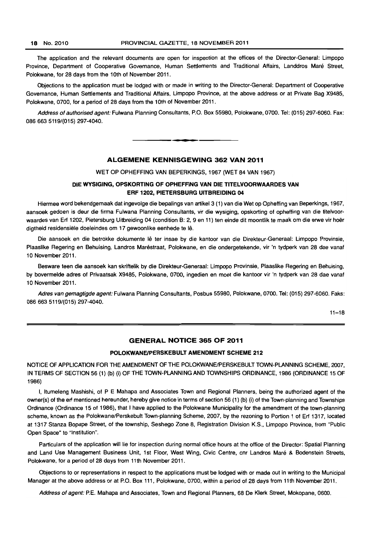The application and the relevant documents are open for inspection at the offices of the Director-General: Limpopo Province, Department of Cooperative Govemance, Human Settlements and Traditional Affairs, Landdros Mare Street, Polokwane. for 28 days from the 10th of November 2011.

Objections to the application must be lodged with or made in writing to the Director-General: Department of Cooperative Governance, Human Settlements and Traditional Affairs, Limpopo Province. at the above address or at Private Bag X9485, Polokwane, 0700. for a period of 28 days from the 10th of November 2011.

Address of authorised agent: Fulwana Planning Consultants, P.O. Box 55980, Polokwane, 0700. Tel: (015) 297-6060. Fax: 0866635119/(015) 297-4040.

#### ALGEMENE KENNISGEWING 362 VAN 2011

I **• •** 

WET OP OPHEFFING VAN BEPERKINGS, 1967 (WET 84 VAN 1967)

#### DIE WYSIGING, OPSKORTING OF OPHEFFING VAN DIE TITELVOORWAARDES VAN ERF 1202, PIETERSBURG UITBREIDING 04

Hiermee word bekendgemaak dat ingevolge die bepalings van artikel3 (1) van die Wet op Opheffing van Beperkings, 1967, aansoek gedoen is deur die firma Fulwana Planning Consultants, vir die wysiging, opskorting of opheffing van die titelvoorwaardes van Erf 1202, Pietersburg Uitbreiding 04 (condition B: 2, 9 en 11) ten einde dit moontlik te maak om die erwe vir hoër digtheid residensiële doeleindes om 17 gewoonlike eenhede te lê.

Die aansoek en die betrokke dokumente lê ter insae by die kantoor van die Direkteur-Generaal: Limpopo Provinsie, Plaaslike Regering en Behuising, Landros Marestraat, Polokwane, en die ondergetekende, vir 'n tydperk van 28 dae vanaf 10 November 2011.

Besware teen die aansoek kan skriftelik by die Direkteur-Generaal: Limpopo Provinsie, Plaaslike Regering en Behuising, by bovermelde adres of Privaatsak X9485, Polokwane, 0700, ingedien en moet die kantoor vir 'n tydperk van 28 dae vanaf 10 November 2011.

Adres van gemagtigde agent: Fulwana Planning Consultants, Posbus 55980, Polokwane, 0700. Tel: (015) 297-6060. Faks: 0866635119/(015) 297-4040.

 $11 - 18$ 

#### GENERAL NOTICE 365 OF 2011

#### POLOKWANEIPERSKEBULT AMENDMENT SCHEME 212

NOTICE OF APPLICATION FOR THE AMENDMENT OF THE POLOKWANE/PERSKEBULT TOWN-PLANNING SCHEME. 2007. IN TERMS OF SECTION 56 (1) (b) (i) OF THE TOWN-PLANNING AND TOWNSHIPS ORDINANCE, 1986 (ORDINANCE 15 OF 1986)

I, Itumeleng Mashishi, of P E Mahapa and Associates Town and Regional Planners. being the authorized agent of the owner(s) of the ert mentioned hereunder, hereby give notice in terms of section 56 (1) (b) (i) of the Town-planning and Townships Ordinance (Ordinance 15 of 1986), that I have applied to the Polokwane Municipality for the amendment of the town-planning scheme, known as the Polokwane/Perskebult Town-planning Scheme, 2007, by the rezoning to Portion 1 of Ert 1317, located at 1317 Stanza Bopape Street, of the township, Seshego Zone 8, Registration Division K.S., Limpopo Province, from "Public Open Space" to "Institution".

Particulars of the application will lie for inspection during normal office hours at the office of the Director: Spatial Planning and Land Use Management Business Unit, 1st Floor, West Wing, Civic Centre, cnr Landros Maré & Bodenstein Streets, Polokwane, for a period of 28 days from 11th November 2011.

Objections to or representations in respect to the applications must be lodged with or made out in writing to the Municipal Manager at the above address or at P.O. Box 111, Polokwane, 0700, within a period of 28 days from 11 th November 2011.

Address of agent: P.E. Mahapa and Associates, Town and Regional Planners, 68 De Klerk Street, Mokopane, 0600.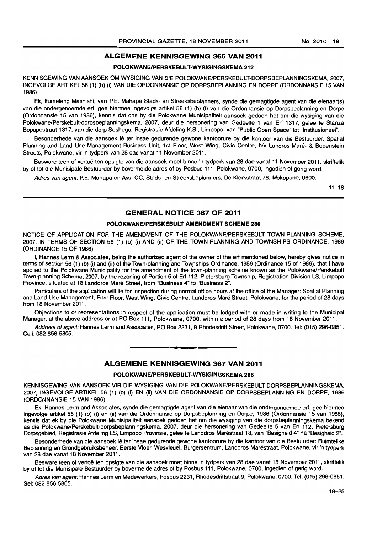#### **ALGEMENE KENNISGEWING 365 VAN 2011**

#### **POLOKWANEIPERSKEBULT-WYSIGINGSKEMA 212**

KENNISGEWING VAN AANSOEK OM WYSIGING VAN DIE POLOKWANE/PERSKEBULT-DORPSBEPLANNINGSKEMA, 2007, INGEVOLGE ARTIKEL 56 (1) (b) (i) VAN DIE ORDONNANSIE OP DORPSBEPLANNING EN DORPE (ORDONNANSIE 15 VAN 1986)

Ek, Itumeleng Mashishi, van P.E. Mahapa Stads- en Streeksbeplanners, synde die gemagtigde agent van die eienaar(s) van die ondergenoemde ert, gee hiermee ingevolge artikel 56 (1) (b) (i) van die Ordonnansie op Dorpsbeplanning en Dorpe (Ordonnansie 15 van 1986), kennis dat ons by die Polokwane Munisipaliteit aansoek gedoen het om die wysiging van die Polokwane/Perskebult-dorpsbeplanningskema, 2007, deur die hersonering van Gedeelte 1 van Ert 1317, geleë te Stanza Bopapestraat 1317, van die dorp Seshego, Registrasie Afdeling K.S., Limpopo, van "Public Open Space" tot "Institusioneel".

Besonderhede van die aansoek lê ter insae gedurende gewone kantoorure by die kantoor van die Bestuurder, Spatial Planning and Land Use Management Business Unit, 1st Floor, West Wing, Civic Centre, h/v Landros Maré- & Bodenstein Streets, Polokwane, vir 'n tydperk van 28 dae vanaf 11 November 2011.

Besware teen of vertoe ten opsigte van die aansoek moet binne 'n tydperk van 28 dae vanaf 11 November 2011, skriftelik by of tot die Munisipale Bestuurder by bovermelde adres of by Posbus 111, Polokwane, 0700, ingedien of gerig word.

Adres van agent: P.E. Mahapa en Ass. CC, Stads- en Streeksbeplanners, De Klerkstraat 78, Mokopane, 0600.

 $11 - 18$ 

#### **GENERAL NOTICE 367 OF 2011**

#### **POLOKWANEJPERSKEBULT AMENDMENT SCHEME 286**

NOTICE OF APPLICATION FOR THE AMENDMENT OF THE POLOKWANEJPERSKEBULT TOWN-PLANNING SCHEME, 2007, IN TERMS OF SECTION 56 (1) (b) (i) AND (ii) OF THE TOWN-PLANNING AND TOWNSHIPS ORDINANCE, 1986 (ORDINANCE 15 OF 1986)

I, Hannes Lerm & Associates, being the authorized agent of the owner of the ert mentioned below, hereby gives notice in terms of section 56 (1) (b) (i) and (ii) of the Town-planning and Townships Ordinance, 1986 (Ordinance 15 of 1986), that I have applied to the Polokwane Municipality for the amendment of the town-planning scheme known as the Polokwane/Perskebult Town-planning Scheme, 2007, by the rezoning of Portion 5 of Ert 112, Pietersburg Township, Registration Division LS, Limpopo Province, situated at 18 Landdros Maré Street, from "Business 4" to "Business 2".

Particulars of the application will lie for inspection during normal office hours at the office of the Manager: Spatial Planning and Land Use Management, First Floor, West Wing, Civic Centre, Landdros Mare Street, Polokwane, for the period of 28 days from 18 November 2011.

Objections to or representations in respect of the application must be lodged with or made in writing to the Municipal Manager, at the above address or at PO Box 111, Polokwane, 0700, within a period of 28 days from 18 November 2011.

Address of agent: Hannes Lerm and Associates, PO Box 2231, 9 Rhodesdrift Street, Polokwane, 0700. Tel: (015) 296-0851. Cell: 082 856 5805. . **-.** 

#### **ALGEMENE KENNISGEWING 367 VAN 2011**

#### **POLOKWANEIPERSKEBULT-WYSIGINGSKEMA 286**

KENNISGEWING VAN AANSOEK VIR DIE WYSIGING VAN DIE POLOKWANE/PERSKEBULT-DORPSBEPLANNINGSKEMA, 2007, INGEVOlGE ARTIKEL 56 (1) (b) (i) EN (ii) VAN DIE ORDONNANSIE OP DORPSBEPLANNING EN DORPE, 1986 (ORDONNANSIE 15 VAN 1986)

Ek, Hannes Lerm and Associates, synde die gemagtigde agent van die eienaar van die ondergenoemde ert, gee hiermee ingevolge artikel 56 (1) (b) (i) en (ii) van die Ordonnansie op Dorpsbeplanning en Dorpe, 1986 (Ordonnansie 15 van 1986), kennis dat ek by die Polokwane Munisipaliteit aansoek gedoen het om die wysiging van die dorpsbeplanningskema bekend as die Polokwane/Perskebult-dorpsbeplanningskema, 2007, deur die hersonering van Gedeelte 5 van Erf 112, Pietersburg Dorpsgebied, Registrasle Afdeling LS, Limpopo Provinsie, gelee te Landdros Marestraat 18, van "Besigheid 4" na "Besigheid 2".

Besonderhede van die aansoek lê ter insae gedurende gewone kantoorure by die kantoor van die Bestuurder: Ruimtelike Beplanning en Grondgebruiksbeheer, Eerste Vloer, Wesvleuel, Burgersentrum, Landdros Marestraat, Polokwane, vir 'n tydperk van 28 dae vanaf 18 November 2011.

Besware teen of vertoë ten opsigte van die aansoek moet binne 'n tydperk van 28 dae vanaf 18 November 2011, skriftelik by of tot die Munisipale Bestuurder by bovermelde adres of by Posbus 111, Polokwane, 0700, ingedien of gerig word.

Adres van agent: Hannes Lerm en Medewerkers, Posbus 2231, Rhodesdriftstraat 9, Polokwane, 0700, Tel: (015) 296-0851. Sel: 082 856 5805.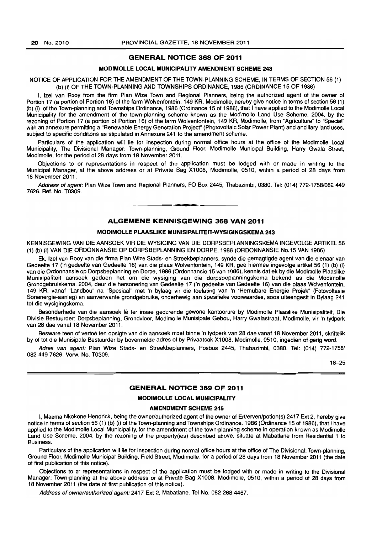#### **GENERAL NOTICE 368 OF 2011**

#### **MODIMOLLE LOCAL MUNICIPALITY AMENDMENT SCHEME 243**

#### NOTICE OF APPLICATION FOR THE AMENDMENT OF THE TOWN-PLANNING SCHEME, IN TERMS OF SECTION 56 (1) (b) (i) OF THE TOWN-PLANNING AND TOWNSHIPS ORDINANCE, 1986 (ORDINANCE 15 OF 1986)

I, Izel van Rooy from the firm Plan Wize Town and Regional Planners, being the authorized agent of the owner of Portion 17 (a portion of Portion 16) of the farm Wolvenfontein, 149 KR, Modimolle, hereby give notice in terms of section 56 (1) (b) (i) of the Town-planning and Townships Ordinance, 1986 (Ordinance 15 of 1986), that I have applied to the Modimolle Local Municipality for the amendment of the town-planning scheme known as the Modimolle Land Use Scheme, 2004, by the rezoning of Portion 17 (a portion of Portion 16) of the farm Wolvenfontein, 149 KR, ModimoJle, from "Agriculture" to "Special" with an annexure permitting a "Renewable Energy Generation Project" (Photovoltaic Solar Power Plant) and ancillary land uses, subject to specific conditions as stipulated in Annexure 241 to the amendment scheme.

Particulars of the application will lie for inspection during normal office hours at the office of the Modimolle Local Municipality, The Divisional Manager: Town-planning, Ground Floor, Modimolle Municipal Building, Harry Gwala Street, Modimolle, for the period of 28 days from 18 November 2011.

Objections to or representations in respect of the application must be lodged with or made in writing to the Municipal Manager, at the above address or at Private Bag X1008, Modimolle, 0510, within a period of 28 days from 18 November 2011.

Address of agent: Plan Wize Town and Regional Planners, PO Box 2445, Thabazimbi, 0380. Tel: (014) 772-1758/082 449 7626. Ref. No. T0309.

#### **ALGEMENE KENNISGEWING 368 VAN 2011**

• **- I** 

#### **MODIMOLLE PLAASLIKE MUNISIPALITEIT-WYSIGINGSKEMA 243**

KENNISGEWING VAN DIE AANSOEK VIR DIE WYSIGING VAN DIE DORPSBEPLANNINGSKEMA INGEVOLGE ARTIKEL 56 (1) (b) (i) VAN DIE ORDONNANSIE OP DORPSBEPLANNING EN DORPE, 1986 (ORDONNANSIE No.15 VAN 1986)

Ek, Izel van Rooy van die firma Plan Wize Stads- en Streekbeplanners, synde die gemagtigde agent van die eienaar van Gedeelle 17 ('n gedeelte van Gedeelte 16) van die plaas Wolventontein, 149 KR, gee hiermee ingevolge artikel 56 (1) (b) (I) van die Ordonnansie op Dorpsbeplanning en Darpe, 1986 (Ordonnansie 15 van 1986), kennis dat ek by die Modimolle Plaaslike Munisipaliteit aansoek gedoen het om die wysiging van die dorpsbeplanningskema bekend as die Modimolle Grondgebruiskema, 2004, deur die hersonering van Gedeelte 17 ('n gedeelte van Gedeelte 16) van die plaas Wolvenfontein, 149 KR, vanaf "Landbou" na "Spesiaal" met 'n bylaag vir die toelating van 'n "Hemubare Energie Projek" (Fotovoltasie Sonenergie-aanleg) en aanverwante grondgebruike, onderhewig aan spesifieke voorwaardes, soos uiteengesit in Bylaag 241 tot die wysigingskema.

Besonderhede van die aansoek lê ter insae gedurende gewone kantoorure by Modimolle Plaaslike Munisipaliteit, Die Divisie Bestuurder: Dorpsbeplanning, Grondvloer, Modimolle Munisipale Gebou, Harry Gwalastraat, Modimolle, vir 'n tydperk van 28 dae vanaf 18 November 2011.

Besware teen of vertoë ten opsigte van die aansoek moet binne 'n tydperk van 28 dae vanaf 18 November 2011, skriftelik by of tot die Munisipale Bestuurder by bovermelde adres of by Privaatsak X1008, Modimolle, 0510, ingedien of gerig word.

Adres van agent: Plan Wize Stads- en Streekbeplanners, Posbus 2445, Thabazimbi, 0380. Tel: (014) 772-1758/ 082 449 7626. Verw. No. T0309.

18-25

#### **GENERAL NOTICE 369 OF 2011**

#### **MODIMOLLE LOCAL MUNICIPALITY**

#### **AMENDMENT SCHEME 245**

I, Maema Nkokone Hendrick, being the owner/authorized agent of the owner of Erf/erven/potion(s) 2417 Ext 2, hereby give notice in terms of section 56 (1) (b) (i) of the Town-planning and Townships Ordinance, 1986 (Ordinance 15 of 1986), that I have applied to the Modimolle Local Municipality, for the amendment of the town-planning scheme in operation known as Modimolle Land Use Scheme, 2004, by the rezoning of the property(ies) described above, situate at Mabatlane from Residential 1 to Business.

Particulars of the application will lie for inspection during normal office hours at the office of The Divisional: Town-planning, Ground Floor, Modimolle Municipal Building, Field Street, Modimolle, for a period of 28 days from 18 November 2011 (the date of first publication of this notice).

Objections to or representations in respect of the application must be lodged with or made in writing to the Divisional Manager: Town-planning at the above address or at Private Bag X1008, Modimolle, 0510, within a period of 28 days from 18 November 2011 (the date of first publication of this notice).

Address of owner/authorized agent: 2417 Ext 2, Mabatlane. Tel No. 082 268 4467.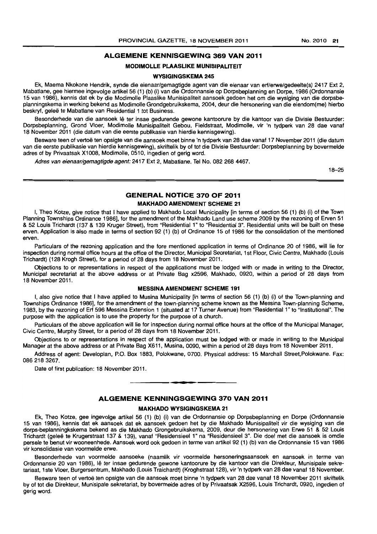#### **ALGEMENE KENNISGEWING 369 VAN 2011**

#### **MODIMOLLE PLAASLIKE MUNISIPALITEIT**

#### **WYSIGINGSKEMA 245**

Ek, Maema Nkokone Hendrik, synde die eienaar/gemagtigde agent van die eienaar van erf/erwe/gedeelte(s) 2417 Ext 2, Mabatlane, gee hiermee ingevolge artikel56 (1) (b) (i) van die Ordonnansie op Dorpsbeplanning en Dorpe, 1986 (Ordonnansie 15 van 1986), kennis dat ek by die Modimolle Plaaslike Munisipaliteit aansoek gedoen het om die wysiging van die dorpsbeplanningskema in werking bekend as Modimolle Grondgebruikskema, 2004, deur die hersonering van die eiendom(me) hierbo beskryf, geleë te Mabatlane van Residential 1 tot Business.

Besonderhede van die aansoek lê ter insae gedurende gewone kantoorure by die kantoor van die Divisie Bestuurder: Dorpsbeplanning, Grond Vloer, Modimolle Munisipaliteit Gebou, Fieldstraat, Modimolle, vir 'n tydperk van 28 dae vanaf 18 November 2011 (die datum van die eerste publikasie van hierdie kennisgewing).

Besware teen of vertoe ten opsigte van die aansoek moet binne 'n tydperk van 28 dae vanaf 17 November 2011 (die datum van die eerste publikasie van hierdie kennisgewing), skriftelik by of tot die Divisie Bestuurder: Dorpsbeplanning by bovermelde adres of by Privaatsak X1008, Modimolle, 0510, ingedien of gerig word.

Adres van eienaar/gemagtigde agent: 2417 Ext 2, Mabatlane. Tel No. 082 268 4467.

18-25

#### **GENERAL NOTICE 370 OF 2011 MAKHADO AMENDMENT SCHEME 21**

I, Theo Kotze, give notice that I have applied to Makhado Local Municipality [in terms of section 56 (1) (b) (i) of the Town Planning Townships Ordinance 1986], for the amendment of the Makhado Land use scheme 2009 by the rezoning of Erven 51 & 52 Louis Trichardt (137 & 139 Kruger Street), from "Residential 1" to "Residential 3". Residential units will be built on these erven. Application is also made in terms of section 92 (1) (b) of Ordinance 15 of 1986 for the consolidation of the mentioned erven.

Particulars of the rezoning application and the fore mentioned application in terms of Ordinance 20 of 1986, will lie tor inspection during normal office hours at the office of the Director. Municipal Secretariat, 1 st Floor, Civic Centre, Makhado (Louis Trichardt) (128 Krogh Street), for a period of 28 days from 18 November 2011.

Objections to or representations in respect of the applications must be lodged with or made in writing to the Director, Municipal secretariat at the above address or at Private Bag x2596, Makhado, 0920, within a period of 28 days from 18 November 2011.

#### **MESSINA AMENDMENT SCHEME 191**

I, also give notice that I have applied to Musina Municipality [in terms of section 56 (1) (b) (i) of the Town-planning and Townships Ordinance 1986]. for the amendment of the town-planning scheme known as the Messina Town-planning Scheme, 1983, by the rezoning of Erf 596 Messina Extension 1 (situated at 17 Turner Avenue) from "Residential 1" to "Institutional". The purpose with the application is to use the property for the purpose of a church.

Particulars of the above application will lie for inspection during normal office hours at the office of the Municipal Manager, Civic Centre, Murphy Street, for a period of 28 days from 18 November 2011.

Objections to or representations in respect of the application must be lodged with or made in writing to the Municipal Manager at the above address or at Private Bag X611, Musina, 0090, within a period of 28 days from 18 November 2011.

Address of agent: Developlan. P.O. Box 1883, Polokwane, 0700. Physical address: 15 Marchall Street,Polokwane. Fax: 0862183267.

**. -**

Date of first publication: 18 November 2011.

#### **ALGEMENE KENNINGSGEWING 370 VAN 2011**

#### **MAKHADO WYSIGINGSKEMA 21**

Ek, Theo Kotze, gee ingevolge artikel 56 (1) (b) (i) van die Ordonnansie op Dorpsbeplanning en Dorpa (Ordonnansie 15 van 1986), kennis dat ek aansoek dat ek aansoek gedoen het by die Makhado Munisipaliteit vir die wysiging van die dorps-beplanningkskema bekend as die Makhado Grongebruikskema, 2009, deur die hersonering van Erwe 51 & 52 Louis Trichardt (gelee te Krugerstraat 137 & 139), vanaf "ResidensieeI1" na "Residensieel 3". Die doel met die aansoek is omdie persele te benut vir wooneenhede. Aansoek word ook gedoen in terme van artikel 92 (1) (b) van die Ordonnansie 15 van 1986 vir konsolidasie van voormelde erwe.

Besonderhede van voormelde aansoeke (naamlik vir voormelde hersoneringsaansoek en aansoek in terme van Ordonnansie 20 van 1986), Ie ter insae gedurende gewone kantoorure by die kantoor van die Direkteur, Munisipale sekretariaat, 1 ste Vloer, Burgersentrum, Makhado (Louis Traichardt) (Kroghstraat 128), vir 'n tydperk van 28 dae vanaf 18 November.

Besware teen of vertoë ten opsigte van die aansoek moet binne 'n tydperk van 28 dae vanaf 18 November 2011 skriftelik by of tot die Direkteur, Munisipale sekretariat, by bovermelde adres of by Privaatsak X2596, Louis Trichardt, 0920, ingedien of gerig word.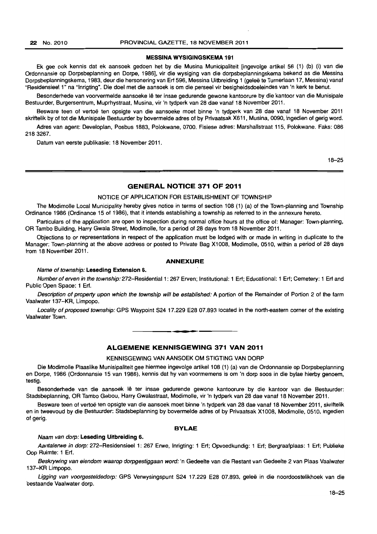#### 22 No. 2010 PROVINCIAL GAZETTE, 18 NOVEMBER 2011

#### **MESSINA WYSIGINGSKEMA 191**

Ek gee ook kennis dat ek aansoek gedoen het by die Musina Municipaliteit [ingevolge artikel 56 (1) (b) (i) van die Ordonnansie op Dorpsbeplanning en Dorpe, 1986], vir die wysiging van die dorpsbeplanningskema bekend as die Messina Dorpsbeplanningskema, 1983, deur die hersonering van Erf 596, Messina Uitbreiding 1 (geleë te Turnerlaan 17, Messina) vanaf "Residensieel 1" na "Inrigting". Die doel met die aansoek is om die perseel vir besigheidsdoeleindes van 'n kerk te benut.

Besonderhede van voorvermelde aansoeke lê ter insae gedurende gewone kantoorure by die kantoor van die Munisipale Bestuurder, Burgersentrum, Muprhystraat, Musina, vir 'n tydperk van 28 dae vanaf 18 November 2011.

Besware teen of vertoe ten opsigte van die aansoeke moet binne 'n tydperk van 28 dae vanaf 18 November 2011 skriftelik by of tot die Munisipale Bestuurder by bovermelde adres of by Privaatsak X611, Musina, 0090, ingedien of gerig word.

Adres van agent: Developlan, Posbus 1883, Polokwane, 0700. Fisiese adres: Marshallstraat 115, Polokwane. Faks: 086 2183267.

Datum van eerste publikasie: 18 November 2011.

18-25

#### **GENERAL NOTICE 371 OF 2011**

#### NOTICE OF APPLICATION FOR ESTABLISHMENT OF TOWNSHIP

The Modimolle Local Municipality hereby gives notice in terms of section 108 (1) (a) of the Town-planning and Township Ordinance 1986 (Ordinance 15 of 1986), that it intends establishing a township as referred to in the annexure hereto.

Particulars of the application are open to inspection during normal office hours at the office of: Manager: Town-planning, OR Tambo Building, Harry Gwala Street, Modimolle, for a period of 28 days from 18 November 2011.

Objections to or representations in respect of the application must be lodged with or made in writing in duplicate to the Manager: Town-planning at the above address or posted to Private Bag X1008, Modimolle, 0510, within a period of 28 days from 18 November 2011.

#### **ANNEXURE**

#### Name of township: **Leseding Extension 6.**

Number of erven in the township: 272-Residential 1: 267 Erven; Institutional: 1 Erf; Educational: 1 Erf; Cemetery: 1 Erf and Public Open Space: 1 Erf.

Description of property upon which the township will be established: A portion of the Remainder of Portion 2 of the farm Vaalwater 137-KR, Limpopo.

Locality of proposed township: GPS Waypoint S24 17.229 E28 07.893 located in the north-eastern corner of the existing Vaalwater Town.

#### **ALGEMENE KENNISGEWING 371 VAN 2011**

**• •** 

#### KENNISGEWING VAN AANSOEK OM STIGTING VAN DORP

Die Modimolle Plaaslike Munisipaliteit gee hiermee ingevolge artikel 108 (1) (a) van die Ordonnansie op Dorpsbeplanning en Dorpe, 1986 (Ordonnansie 15 van 1986), kennis dat hy van voormemens is om 'n dorp soos in die bylae hierby genoem, testig.

Besonderhede van die aansoek Ie ter insae gedurende gewone kantoorure by die kantoor van die Bestuurder: Stadsbeplanning, OR Tambo Gebou, Harry Gwalastraat, Modimolle, vir 'n tydperk van 28 dae vanaf 18 November 2011.

Besware teen of vertoë ten opsigte van die aansoek moet binne 'n tydperk van 28 dae vanaf 18 November 2011, skriftelik en in tweevoud by die Bestuurder: Stadsbeplanning by bovermelde adres of by Privaatsak X1008, Modimolle. 0510. ingedien of gerig.

#### **BYLAE**

Naam van dorp: **Leseding Uitbreidlng** 6.

Aantalerwe in dorp: 272-Residensieel 1: 267 Erwe, Inrigting: 1 Erf; Opvoedkundig: 1 Erf; Bergraafplaas: 1 Erf; Publieke Oop Ruimte: 1 Erf.

Beskrywing van eiendom waarop dorpgestiggaan word: 'n Gedeelte van die Restant van Gedeelte 2 van Plaas Vaalwater 137-KR Limpopo.

Ligging van voorgesteldedorp: GPS Verwysingspunt S24 17.229 E28 07.893, geleë in die noordoostelikhoek van die bestaande Vaalwater dorp.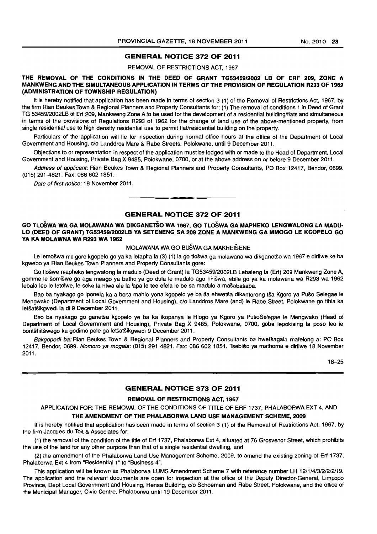#### GENERAL NOTICE 372 OF 2011

REMOVAL OF RESTRICTIONS ACT, 1967

THE REMOVAL OF THE CONDITIONS IN THE DEED OF GRANT *TG53459/2002* LB OF ERF 209, ZONE A MANKWENG AND THE SIMULTANEOUS APPLICATION IN TERMS OF THE PROVISION OF REGULATION R293 OF 1962 (ADMINISTRATION OF TOWNSHIP REGULATION)

It is hereby notified that application has been made in terms of section 3 (1) of the Removal of Restrictions Act, 1967, by the firm Rian Beukes Town & Regional Planners and Property Consultants for: (1) The removal of conditions 1 in Deed of Grant TG 53459/2002LB of Erf 209, Mankweng Zone A to be used for the development of a residential building/flats and simultaneous in terms of the provisions of Regulations R293 of 1962 for the change of land use of the above-mentioned property, from single residential use to high density residential use to permit flat/residential building on the property.

Particulars of the application will lie for inspection during normal office hours at the office of the Department of Local Government and Housing, c/o Landdros Mare & Rabe Streets, Polokwane. until 9 December 2011.

Objections to or representation in respect of the application must be lodged with or made to the Head 01 Department, Local Government and Housing. Private Bag X 9485, Polokwane, 0700, or at the above address on or before 9 December 2011.

Address of applicant: Rian Beukes Town & Regional Planners and Property Consultants, PO Box 12417, Bendor, 0699. (015) 291-4821. Fax: 086 6021851.

Date of first notice: 18 November 2011.

#### GENERAL NOTICE 372 OF 2011

-**-.** 

#### GO TLoSWA WA GA MOLAWANA WA DIKGANErSO WA 1967, GO TLoSWA GA MAPHEKO LENGWALONG LA MADU-LO (DEED OF GRANT) TG5345912002LB VA SETENENG SA 209 ZONE A MANKWENG GA MMOGO LE KGOPELO GO VA KA MOLAWNA WA R293 WA 1962

#### MOLAWANA WA GO BuSWA GA MAKHEISENE

Le lemoswa mo gore kgopelo go ya ka lefapha la (3) (1) la go tloswa ga molawana wa dikganetso wa 1967 e dirilwe ke ba kgwebo ya Rian Beukes Town Planners and Property Consultants gore:

Go tloswe mapheko lengwalong la madulo (Deed of Grant) la TG53459/2002LB Lebaleng la (Erf) 209 Mankweng Zone A, gomme Ie somiswe go aga meago ya batho ya go dula Ie madulo ago hiriswa, ebile go ya ka molawana wa R293 wa 1962 lebala leo le fetolwe, le seke la hlwa ele la lapa le tee efela le be sa madulo a mašabašaba.

Bao ba nyakago go iponela ka a bona mahlo yona kgopelo ye ba tla ehwetša dikantorong tša Kgoro ya Pušo Selegae le Mengwako (Department of Local Government and Housing), c/o Landdros Mare (and) Ie Rabe Street, Polokwane go fihla ka letšatšikgwedi la di 9 December 2011.

Bao ba nyakago go ganetša kgopelo ye ba ka ikopanya le Hlogo ya Kgoro ya PušoSelegae le Mengwako (Head of Department of Local Government and Housing), Private Bag X 9485, Polokwane, 0700. goba lepokising la poso leo Ie bontšhitšwego ka godimo pele ga letšatšikgwedi 9 December 2011.

Bakgopedi ba: Rian Beukes Town & Regional Planners and Property Consultants ba hwetšagala mafelong a: PO Box 12417, Bendor, 0699. Nomoro ya mogala: (015) 291 4821. Fax: 086 602 1851. Tsebišo ya mathoma e dirilwe 18 November 2011.

18-25

#### GENERAL NOTICE 373 OF 2011

#### REMOVAL OF RESTRICTIONS ACT, 1967

APPLICATION FOR: THE REMOVAL OF THE CONDITIONS OF TITLE OF ERF 1737, PHALABORWA EXT 4, AND

#### THE AMENDMENT OF THE PHALABORWA LAND USE MANAGEMENT SCHEME, 2009

It is hereby notified that application has been made in terms of section 3 (1) of the Removal of Restrictions Act, 1967, by the firm Jacques du Toit & Associates for:

(1) the removal of the condition of the title of Erf 1737, Phalaborwa Ext 4, situated at 76 Grosvenor Street, which prohibits the use of the land for any other purpose than that of a single residential dwelling, and

(2) the amendment of the Phalaborwa Land Use Management Scheme, 2009, to amend the existing zoning of Erf 1737, Phalaborwa Ext 4 from "Residential 1" to "Business 4".

This application will be known as Phalaborwa LUMS Amendment Scheme 7 with reference number LH 12/1/4/3/2/2/2/19. The application and the relevant documents are open for inspection at the office of the Deputy Director-General, Limpopo Province, Dept Local Government and Housing, Hensa Building, c/o Schoeman and Rabe Street, Polokwane, and the office of the Municipal Manager, Civic Centre, Phalaborwa until 19 December 2011.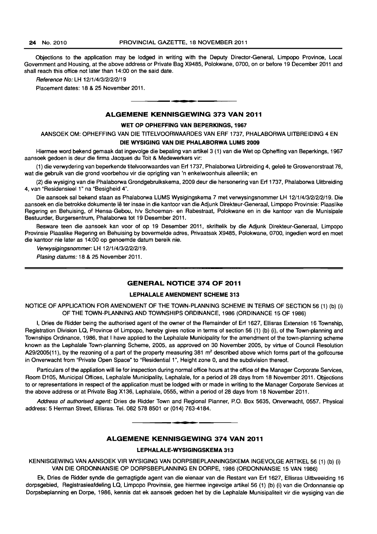Objections to the application may be lodged in writing with the Deputy Director-General, Limpopo Province, Local Government and Housing, at the above address or Private Bag X9485, Polokwane, 0700, on or before 19 December 2011 and shall reach this office not later than 14:00 on the said date.

Reference No: LH 1211/4/3/21212119

Placement dates: 18 & 25 November 2011.

#### ALGEMENE KENNISGEWING 373 VAN 2011

**I •** 

#### WET OP OPHEFFING VAN BEPERKINGS, 1967

AANSOEK OM: OPHEFFING VAN DIE TITELVOORWAARDES VAN ERF 1737, PHALABORWA UITBREIDING 4 EN

#### DIE WYSIGING VAN DIE PHALABORWA LUMS 2009

Hiermee word bekend gemaak dat ingevolge die bepaling van artikel 3 (1) van die Wet op Opheffing van Beperkings, 1967 aansoek gedoen is deur die firma Jacques du Toit & Medewerkers vir:

(1) die verwydering van beperkende titelvoorwaardes van Erf 1737, Phalaborwa Uirbreiding 4, gelee te Grosvenorstraat 76, wat die gebruik van die grond voorbehou vir die oprigting van 'n enkelwoonhuis alleenlik; en

(2) die wysiging van die Phalaborwa Grondgebruikskema, 2009 deur die hersonering van Erf 1737, Phalaborwa Uitbreiding 4, van "Residensieel 1" na "Besigheid 4".

Die aansoek sal bekend staan as Phalaborwa LUMS Wysigingskema 7 met verwysingsnommer LH 12/1/4/3/2/2/2/19. Die aansoek en die betrokke dokumente lê ter insae in die kantoor van die Adjunk Direkteur-Generaal, Limpopo Provinsie: Plaaslike Regering en Behuising, of Hensa-Gebou, hlv Schoeman- en Rabestraat, Polokwane en in die kantoor van die Munisipale Bestuurder, Burgersentrum, Phalaborwa tot 19 Desember 2011.

Besware teen die aansoek kan voor of op 19 Desember 2011, skriftelik by die Adjunk Direkteur-Generaal, Limpopo Provinsie Plaaslike Regering en Behuising by bovermelde adres, Privaatsak X9485, Polokwane, 0700, ingedien word en moet die kantoor nie later as 14:00 op genoemde datum bereik nie.

Verwysigingsnommer: LH 1211/4/3121212119.

Plasing datums: 18 & 25 November 2011.

#### GENERAL NOTICE 374 OF 2011

#### LEPHALALE AMENDMENT SCHEME 313

NOTICE OF APPLICATION FOR AMENDMENT OF THE TOWN-PLANNING SCHEME IN TERMS OF SECTION 56 (1) (b) (i) OF THE TOWN-PLANNING AND TOWNSHIPS ORDINANCE, 1986 (ORDINANCE 15 OF 1986)

I, Dries de Ridder being the authorised agent of the owner of the Remainder of Erf 1627, Ellisras Extension 16 Township, Registration Division LQ, Province of Limpopo, hereby gives notice in terms of section 56 (1) (b) (i), of the Town-planning and Townships Ordinance, 1986, that I have applied to the Lephalale Municipality for the amendment of the town-planning scheme known as the Lephalale Town-planning Scheme, 2005, as approved on 30 November 2005, by virtue of Council Resolution A29/2005(11), by the rezoning of a part of the property measuring 381  $m<sup>2</sup>$  described above which forms part of the golfcourse in Onverwacht from "Private Open Space" to "Residential 1", Height zone 0, and the subdivision thereof.

Particulars of the appliation will lie for inspection during normal office hours at the office of the Manager Corporate Services, Room D105, Municipal Offices, Lephalale Municipality, Lephalale, for a period of 28 days from 18 November 2011. Objections to or representations in respect of the application must be lodged with or made in writing to the Manager Corporate Services at the above address or at Private Bag X136, Lephalale, 0555, within a period of 28 days from 18 November 2011.

Address of authorised agent: Dries de Ridder Town and Regional Planner, P.O. Box 5635, Onverwacht, 0557. Physical address: 5 Herman Street, Ellisras. Tel. 082 578 8501 or (014) 763-4184 . . **- .** 

#### ALGEMENE KENNISGEWING 374 VAN 2011

#### LEPHALALE-WYSIGINGSKEMA 313

KENNISGEWING VAN AANSOEK VIR WYSIGING VAN DORPSBEPLANNINGSKEMA INGEVOLGE ARTIKEL 56 (1) (b) (i) VAN DIE ORDONNANSIE OP DORPSBEPLANNING EN DORPE, 1986 (ORDONNANSIE 15 VAN 1986)

Ek, Dries de Ridder synde die gemagtigde agent van die eienaar van die Restant van Erf 1627, Ellisras Uitbveeiding 16 dorpsgebied, Registrasieafdeling LQ, Limpopo Provinsie, gee hiermee ingevolge artikel 56 (1) (b) (i) van die Ordonnansie op Dorpsbeplanning en Dorpe, 1986, kennis dat ek aansoek gedoen het by die Lephalale Munisipaliteit vir die wysiging van die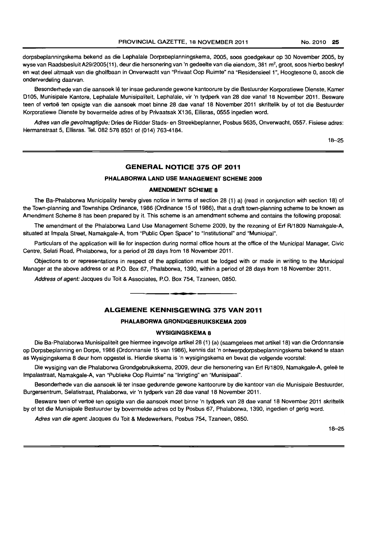dorpsbeplanningskema bekend as die Lephalale Dorpsbeplanningskema, 2005, soos goedgekeur op 30 November 2005, by wyse van Raadsbesluit A29/2005(11), deur die hersonering van 'n gedeelte van die eiendom, 381 m<sup>2</sup>, groot, soos hierbo beskryf en wat deel uitmaak van die gholfbaan in Onverwacht van "Privaat Oop Ruimte" na "Residensieel 1", Hoogtesone 0, asook die onderverdeling daarvan.

Besonderhede van die aansoek lê ter insae gedurende gewone kantoorure by die Bestuurder Korporatiewe Dienste, Kamer 0105, Munisipale Kantore, Lephalale Munisipaliteit, Lephalale, vir 'n tydperk van 28 dae vanaf 18 November 2011. Besware teen of vertoë ten opsigte van die aansoek moet binne 28 dae vanaf 18 November 2011 skriftelik by of tot die Bestuurder Korporatiewe Dienste by bovermelde adres of by Privaatsak X136, Ellisras, 0555 ingedien word.

Adres van die gevolmagtigde: Dries de Ridder Stads- en Streekbeplanner, Posbus 5635, Onverwacht, 0557. Fisiese adres: Hermanstraat 5, Ellisras. Tel. 082 578 8501 of (014) 763-4184.

18-25

#### **GENERAL NOTICE 375 OF 2011**

#### **PHALABORWA LAND** USE **MANAGEMENT SCHEME** 2009

#### **AMENDMENT SCHEME 8**

The Ba-Phalaborwa Municipality hereby gives notice in terms of section 28 (1) a) (read in conjunction with section 18) of the Town-planning and Townships Ordinance, 1986 (Ordinance 15 of 1986), that a draft town-planning scheme to be known as Amendment Scheme 8 has been prepared by it. This scheme is an amendment scheme and contains the following proposal:

The amendment of the Phalaborwa Land Use Management Scheme 2009, by the rezoning of Erf R/1809 Namakgale-A, situated at Impala Street, Namakgale-A, from "Public Open Space" to "Institutional" and "Municipal".

Particulars of the application will lie for inspection during normal office hours at the office of the Municipal Manager, Civic Centre, Selati Road, Phalaborwa, for a period of 28 days from 18 November 2011.

Objections to or representations in respect of the application must be lodged with or made in writing to the Municipal Manager at the above address or at P.O. Box 67, Phalaborwa, 1390, within a period of 28 days from 18 November 2011.

Address of agent: Jacques du Toit & Associates, P.O. Box 754, Tzaneen, 0850.

#### **ALGEMENE KENNISGEWING 375 VAN 2011**

**•** 

#### **PHALABORWA GRONDGEBRUIKSKEMA 2009**

#### **WYSIGINGSKEMA 8**

Die Ba-Phalaborwa Munisipaliteit gee hiermee ingevolge artikel 28 (1) (a) (saamgelees met artikel18) van die Ordonnansie op Dorpsbeplanning en Dorpe, 1986 (Ordonnansie 15 van 1986), kennis dat 'n ontwerpdorpsbeplanningskema bekend te staan as Wysigingskema 8 deur hom opgestel is. Hierdie skema is 'n wysigingskema en bevat die volgende voorstel:

Die wysiging van die Phalaborwa Grondgebruikskema, 2009, deur die hersonering van Erf R/1809, Namakgale-A, geleë te Impalastraat, Namakgale-A, van "Publieke Oop Ruimte" na "Inrigting" en "Munisipaal".

Besonderhede van die aansoek lê ter insae gedurende gewone kantoorure by die kantoor van die Munisipale Bestuurder, Burgersentrum, Selatistraat, Phalaborwa, vir 'n tydperk van 28 dae vanaf 1 B November 2011.

Besware teen of vertoë ten opsigte van die aansoek moet binne 'n tydperk van 28 dae vanaf 18 November 2011 skriftelik by of tot die Munisipale Bestuurder by bovermelde adres od by Posbus 67, Phalaborwa, 1390, ingedien of gerig word.

Adres van die agent: Jacques du Toit & Medewerkers, Posbus 754, Tzaneen, 0850.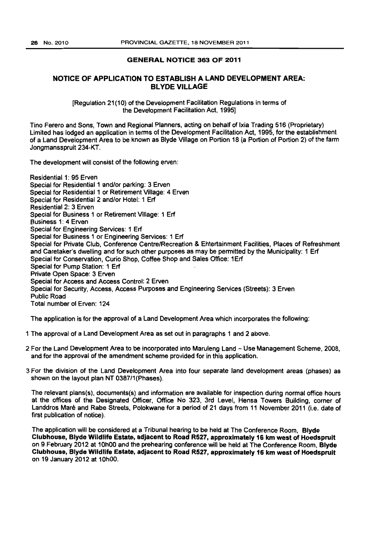#### GENERAL NOTICE 363 OF 2011

#### NOTICE OF APPLICATION TO ESTABLISH A LAND DEVELOPMENT AREA: BL YDE VILLAGE

[Regulation 21(10) of the Development Facilitation Regulations in terms of the Development Facilitation Act. 1995]

Tino Fefero and Sons, Town and Regional Planners, acting on behalf of Jxia Trading 516 (Proprietary) Limited has lodged an application in terms of the Development Facilitation Act, 1995, for the establishment of a Land Development Area to be known as Blyde Village on Portion 18 (a Portion of Portion 2) of the farm Jongmansspruit 234-KT.

The development will consist of the following erven:

Residential 1: 95 Erven Special for Residential 1 and/or parking: 3 Erven Special for Residential 1 or Retirement Village: 4 Erven Special for Residential 2 and/or Hotel: 1 Erf Residential 2: 3 Erven Special for Business 1 or Retirement Village: 1 Erf Business 1: 4 Erven Special for Engineering Services: 1 En Special for Business 1 or Engineering Services: 1 Erf Special for Private Club, Conference Centre/Recreation & Entertainment Facilities, Places of Refreshment and Caretaker's dwelling and for such other purposes as may be permitted by the Municipality: 1 Erf Special for Conservation, Curio Shop, Coffee Shop and Sales Office: 1Erf Special for Pump Station: 1 Erf Private Open Space: 3 Erven Special for Access and Access Control; 2 Erven Special for Security. Access, Access Purposes and Engineering Services (Streets): 3 Erven Public Road Total number of Erven: 124

The application is for the approval of a Land Development Area which incorporates the following:

- 1 The approval of a Land Development Area as set out in paragraphs 1 and 2 above.
- 2 For the Land Development Area to be incorporated into Maruleng Land Use Management Scheme. 2008. and for the approval of the amendment scheme provided for in this application.
- 3 For the division of the land Development Area into four separate land development areas (phases) as shown on the layout plan NT 0387/1 (Phases).

The relevant plans(s). documents(s) and information are available for inspection during normal office hours at the offices of the Designated Officer, Office No 323, 3rd Level, Hensa Towers Building, corner of Landdros Mare and Rabe Streets, Polokwane for a period of 21 days from 11 November 2011 (i.e. date of first publication of notice).

The application will be considered at a Tribunal hearing to be held at The Conference Room, Blyde Clubhouse. Blyde Wildlife Estate, adjacent to Road R527, approximately 16 km west of Hoedspruit on 9 February 2012 at 10hOO and the prehearing conference will be held at The Conference Room. Blyde Clubhouse, Blyde Wildlife Estate, adjacent to Road R527, approximately 16 km west of Hoedspruit on 19 January 2012 at 10hOO.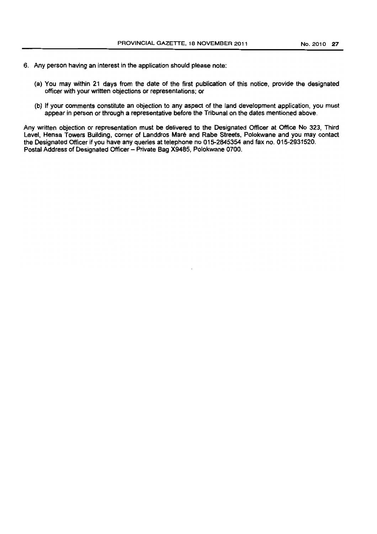- 6. Any person having an interest in the application should please note:
	- (a) You may within 21 days from the date of the first publication of this notice, provide the designated officer with your written objections or representations; Of
	- (b) If your comments constitute an objection to any aspect of the land development application, you must appear in person or through a representative before the Tribunal on the dates mentioned above.

Any written objection or representation must be delivered to the Designated Officer at Office No 323, Third Level, Hensa Towers Building, comer of Landdros Mare and Rabe Streets, Polokwane and you may contact the Designated Officer if you have any queries at telephone no 015-2845354 and fax no. 015-2931520. Postal Address of Designated Officer - Private Bag X9485, Polokwane 0700.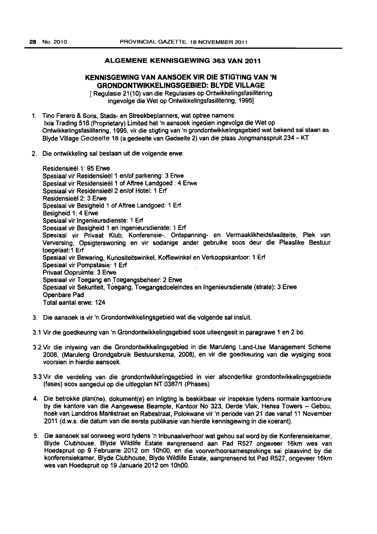#### **ALGEMENE KENNISGEWING 363 VAN 2011**

# **KENNISGEWING VAN AANSOEK VIR DIE STIGTING VAN 'N GRONDONTWIKKELINGSGEBIED: BL YOE VILLAGE**

[ Regulasie 21 (10) van die Regulasies op Ontwikkelingsfasilitering ingevolge die Wet op Ontwikkelingsfasilitering, 19951

- 1. Tino Ferero & Sons, Stads· en Streekbeplanners, wat optree namens Ixia Trading 516 (Proprietary) Limited het 'n aansoek ingedien ingevolge die Wet op Ontwikkelingsfasilitering, 1995, vir die stigting van tn grondontwikkelingsgebied wat bekend sal staan as Blyde Village Gedeelte 18 (a gedeelte van Gedeelte 2) van die plaas Jongmansspruit 234 - KT
- 2. Die ontwikkeling sal bestaan uit die volgende erwe:

Residensieël 1: 95 Erwe Spesiaal vir Residensieël 1 en/of parkering: 3 Erwe Spesiaal vir Residensieel 1 of Aftree Landgoed : 4 Erwe Spesiaal vir Residensieël 2 en/of Hotel: 1 Erf Residensieel 2: 3 Erwe Spesiaal vir Besigheid 1 of Aftree Landgoed: 1 Erf Besigheid 1: 4 Erwe Spesiaal vir Ingenieursdienste: 1 Erf Spesiaal vir Besigheid 1 en Ingenieursdienste: 1 Erf Spesiaal vir Privaat Klub, Konferensie·, Ontspanning· en Vermaaklikheidsfasiliteite, Plek van Verversing, Opsigterswoning en vir sodanige ander gebruike soos deur die Plaaslike Bestuur toegelaat:1 Erf Spesiaal vir Bewaring, Kuriositeitswlnkel, Koffiewinkel en Verkoopskantoor: 1 Erf Spesiaal vir Pompstasie: 1 Erf Privaat Oopruimte: 3 Erwe Spesiaal vir Toegang en Toegangsbeheer: 2 Erwe Spesiaal vir Sekuriteit. TOegang, Toegangsdoeleindes en Ingenieursdienste (strate): 3 Erwe Openbare Pad Total aanta! erwe: 124

- 3. Die aansoek is vir 'n Grondontwikkelingsgebied wat die volgende sal insluit.
- 3.1 Vir die goedkeuring van 'n Grondontwikkelingsgebied soos uiteengesit in paragrawe 1 en 2 bo.
- 3.2 Vir die inlywing van die Grondontwikkelingsgebied in die Maruleng Land-Use Management Scheme 2008, (Maruleng Grondgebruik Bestuurskema, 2008), en vir die goedkeuring van die wysiging saos voorsien in hierdie aansoek.
- 3.3 Vir die verdeling van die grondontwikkelingsgebied in vier afsonderlike gfondontwikkelingsgebiede (fases) soos aangedui op die uitlegplan NT 038711 (Phases)
- 4. Die betrokke ptan(ne). dokument(e) en inligting is beskikbaar vir inspeksie tydens normale kantoorure by die kantore van die Aangewese Beampte, Kantoor No 323, Derde Vlak. Hensa Towers - Gebou. hoek van landdros Marestraat en Rabestraat, Polokwane vir 'n periode van 21 dae vanaf 11 November 2011 (d.w.s. die datum van die eerste publikasie van hierdie kennisgewing in die koerant).
- 5. Die aansoek sal oorweeg word tydens 'n tribunaalverhoor wat gehou sat word by die Konferensiekamer, Blyde Clubhouse, Blyde Wildlife Estate aangrensend aan Pad R527 ongeveer 16km wes van Hoedspruit op 9 Februarie 2012 om 10hOO. en die voorvemoorsamesprekings sal plaasvind by die konferensiekamer, Blyde Clubhouse, Blyde Wildlife Estate, aangrensend tot Pad R527, ongeveer 16km wes van Hoedspruit op 19 Januarie 2012 om 10hOO.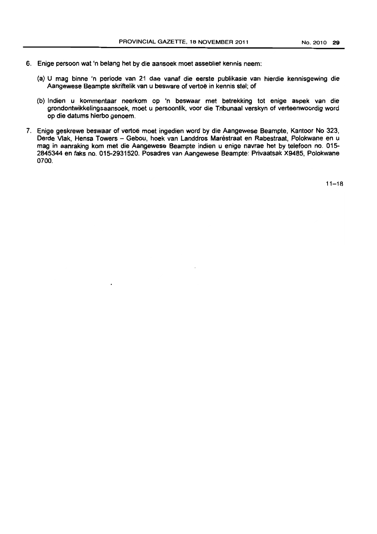- 6. Enige persoon wat 'n belang het by die aansoek moet assebliet kennis neem:
	- (a) U mag binne 'n periode van 21 dae vanaf die eerste publikasie van hierdie kennisgewing die Aangewese Beampte skriftelik van u besware of vertoë in kennis stel; of
	- (b) Indien u kommentaar neerkom op 'n beswaar met betrekking tot enige aepek van die grondontwikkelingsaansoek, moet u persoontik. voor die Tribunaal verskyn of verteenwoordig word op die datums hierbo genoern.
- 7. Enige geskrewe beswaar of vertoë moet ingedien word by die Aangewese Beampte, Kantoor No 323, Derde Vlak, Hensa Towers - Gebou, hoek van Landdros Maréstraat en Rabestraat, Polokwane en u mag in aanraking kom met die Aangewese Beampte indien u enige navrae het by telefoon no. 015-- 2845344 en faks no. 015-2931520. Posadres van Aangewese Beampte: Privaatsak X9485, Polokwane 0700.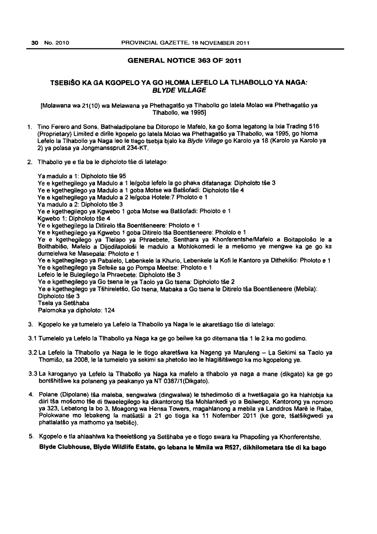#### GENERAL NOTICE 363 OF 2011

#### TSEBISO KA GA KGOPELO VA GO HLOMA LEFELO LA TLHABOLlO VA NAGA: BL YDE VILLAGE

[Motawana wa 21(10) wa Melawana ya PhethagatSo ya Tlhabollo go latela Molao wa Phethagatso ya Tlhabollo, wa 1995]

- 1. TIno Ferero and Sons. Bathaladipolane ba Dltoropo Ie Mafelo, ka go soma tegatong la Ixia Trading 516 (Proprietary) Limited e dirile kgopelo go latela Molao wa Phethagatso ya Tlhabollo, wa 1995, go hloma Lefelo la Tlhabollo ya Naga leo Ie tlago tsebja bjalo ka Blyde Village go Karolo ya 18 (Karolo ya Karolo ya 2) ya polasa ya Jongmansspruit 234-KT.
- 2. Tlhabollo ye e tla ba le dipholoto tše di latelago:

Ya madulo a 1: Dipholoto tše 95 Ye e kgethegilego ya Madulo a 1 le/goba lefelo la go phaka difatanaga: Dipholoto tše 3 Ye e kgethegilego ya Madulo a 1 goba Motse wa Batšofadi: Dipholoto tše 4 Ye e kgethegilego ya Madulo a 2 le/goba Hotele:7 Pholoto e 1 Ya madulo a 2: Dipholoto tše 3 Ye *e* kgethegilego ya Kgwebo 1 goba Motse wa Batsofadl: Pholoto e 1 Kgwebo 1: Dipholoto tše 4 Ve e kgethegilego la Ditirelo tia Boentseneere: Pholoto e 1 Ve e kgethegilego ya Kgwebo 1 goba Ditirelo tsa Boentseneere: Pholoto e 1 Ye e kgethegilego ya Tlelapo ya Phraebete, Senthara ya Khonferentshe/Mafelo a Boitapološo le a BoithabiSo, Mafelo a Dijodilapolosi Ie madulo a Mohlokomedi Ie a mesomo ye mengwe ka ge go ka dumelelwa ke Masepala: Pholoto e 1 Ye e kgethegilego ya Pabalelo, Lebenkele la Khurio, Lebenkele la Kofi le Kantoro ya Dithekišo: Pholoto e 1 Ya e kgethegilego ya Setese sa go Pompa Meetse: Pholoto e 1 Lefelo le le Bulegilego la Phraebete: Dipholoto tše 3 Ye e kgethegilego ya Go tsena le ya Taolo ya Go tsena: Dipholoto tše 2 Ve e kgethegilego ya Tshireletso, Go tsena, Mabaka a Go tsena Ie Ditirelo tSa Boentseneere (Mebila): Dipholoto tše 3 Tsela ya Setshaba Palomoka ya dipholoto: 124

- 3. Kgopelo ke ya tumelelo ya Lefelo Is Tlhabollo ya Naga Ie Ie akaretiago t§e di latelago:
- 3.1 Tumelelo ya Lefelo la Tlhabollo ya Naga ka ge go beilwe ka go ditemana iSa 1 Ie 2 ka mo godimo.
- 3.2 La Lefelo la TIhabolio ya Naga Ie Ie tlogo akaretSwa ka Nageng ya Maruleng La Sekimi sa Taolo ya Thomiso, sa 2008, Ie la tumelelo ya sekimi sa phetoso leo Ie hlagisitswego ka mo kgopelong ye.
- 3.3 La karoganyo ya Lefelo la TlhaOOllo ya Naga ka mafelo a tlhabolo *va* nag a a mane (dikgato) ka ge go bontshitswe ka polaneng ya peakanyo ya NT 038711 (Dikgato).
- 4. Polane (Dipolane) tia maleba, sengwalwa (dingwalwa) Ie tshedimoso di a hwetsagala go ka hlahlobja ka diiri tša mošomo tše di tlwaelegilego ka dikantorong tša Mohlankedi yo a Beilwego, Kantorong ya nomoro ya 323, Lebatong la bo 3, Moagong wa Hensa Towers, magahlanong a mebila ya Landdros Maré le Rabe. Polokwane mo lebakeng la matšatši a 21 go tloga ka 11 Nofember 2011 (ke gore, tšatšikgwedi ya phatlalatso ya mathomo ya tsebiso).
- 5. Kgopalo e tla ahlaahlwa ka theeletSong ya Setihaba *ve* e tlogo swara ka Phaposing ya Khonferentshe,

Blyde Clubhouse, Blyde Wildlife Estate. go febans Ie Mmila wa R527, dikhilometara tie di ka bago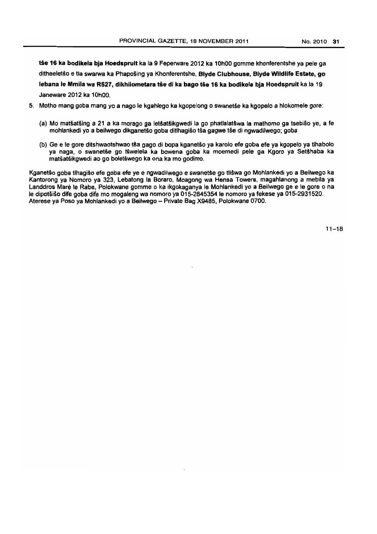tše 16 ka bodikela bja Hoedspruit ka la 9 Feperware 2012 ka 10h00 gomme khonferentshe ya pele ga ditheeletšo e tla swarwa ka Phapošing ya Khonferentshe. Blyde Clubhouse, Blyde Wildlife Estate, go lebana le Mmila wa R527, dikhilometara tše di ka bago tše 16 ka bodikela bia Hoedspruit ka la 19 Janeware 2012 ka 10hOO,

- 5. Motho mang goba mang yo a nago Ie kgahlego ka kgopelong 0 swanetse ka kgopelo a hlokomele gore:
	- (a) Mo matšatšing a 21 a ka morago ga letšatšikgwedi la go phatlalatšwa la mathomo ga tsebišo ye, a fe mohlankedi yo a beilwego dikganetšo goba ditlhagišo tša gagwe tše di ngwadilwego; goba
	- (b) Ge e Ie gore ditshwaotshwao tsa gago di bopa kganetso ya karolo efe goba efe ya kgopelo ya tlhabolo ya naga, o swanetše go tśwelela ka bowena goba ka moemedi pele ga Kgoro ya Setšhaba ka matšatšikgwedi ao go boletšwego ka ona ka mo godimo.

Kganetšo goba tlhagišo efe goba efe ye e ngwadilwego e swanetše go tlišwa go Mohlankedi yo a Beilwego ka Kantorong ya Nomoro ya 323. Lebatong la Boraro. Moagong wa Hensa Towers, magahlanong a mebila ya Landdros Maré le Rabe. Polokwane gomme o ka ikgokaganya le Mohlankedi yo a Beilwego ge e le gore o na le dipotšišo dife goba dife mo mogaleng wa nomoro ya 015-2845354 le nomoro ya fekese ya 015-2931520. Aterese ya Poso ya Mohlankedi yo a Beilwego - Private Bag X9485. Polokwane 0700.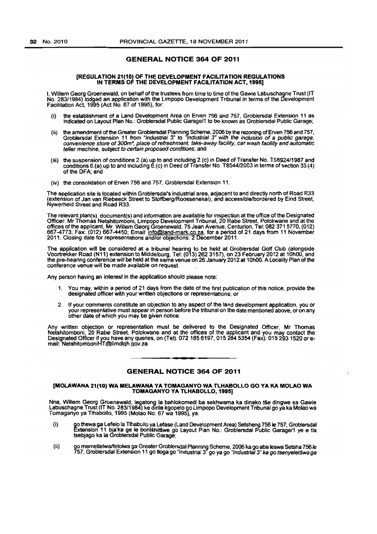#### GENERAL NOTICE 364 OF 2011

#### [REGULATION 21(10) OF THE DEVELOPMENT FACILITATION REGULATIONS IN TERMS OF THE DEVELOPMENT FACILITATION ACT, 1995]

I, Willem Georg Groenewald, on behalf of the trustees from time to time of the Gawie Labuschagne Trust (IT No. 28311984) lodged an application with the Limpopo Development Tribunal in terms of the Development Facilitation Act. 1995 (Act No. 67 of 1995). for.

- (i) the establishment of a land Development Area on Erven 756 and 757. Groblersdal Extension 11 as indicated on layout Plan No.: Groblersdal Public Garagel1 to be known as Groblersdal Public Garage;
- (ii) the amendment of the Greater Groblersdal Planning Scheme, 2006 by the rezoning of Erven 756 and 757, Groblersdal Extension 11 from "Industrial 3" to *"Industrial 3" with the inclusion of a public garage,*<br>convenience store of 300m<sup>2</sup>, place of refreshment, take-away facility, car wash facility and automatic teller machine, subject to certain proposed conditions; and
- (iii) the suspension of conditions 2.(a) up to and including 2.(c) in Deed of Transfer No. T58924/1987 and conditions 6.(a) up to and including 6.(c) in Deed of Transfer No. T8544/2003 in terms of section 33 (4) of the DFA; and
- (iv) the consolidation of Erven 756 and 757, Groblersdal Extension 11.

The application site is located within Groblersdal's industrial area, adjacent to and directly north of Road R33 (extension of Jan van Riebeeck Street to StoffberglRoossenekal), and accessibleJbordered by Eind Street. Nywerheid Street and Road R33.

The relevant plan(s), document(s) and information are available for inspection at the office of the Designated Officer: Mr Thomas Netshitomboni. Limpopo Development Tribunal. 20 Rabe Street. Polokwane and at the offices of the applicant, Mr. Willem Georg Groenewald, 75 Jean Avenue. Centurion, Tel: 0823715770. (012) 667-4773; Fax: (012) 667-4450; Email: info@land-mark.co.za, for a period of 21 days from 11 November 2011. Closing date for representations and/or objections: 2 December 2011.

The application will be considered at a tribunal hearing to be held at Groblersdal Golf Club (alongside Voortrekker Road (N11) extension to Middelburg, Tel: (013) 2623157), on 23 February 2012 at 10hOO, and the pre-hearing conference will be held at the same venue on 26 January 2012 at 10h00. A Locality Plan of the conference venue will be made available on request.

Any person having an interest in the application should please note:

- You may, within a period of 21 days from the date of the first publication of this notice, provide the designated officer with your written objections or representations; or
- 2. It your comments constitute an objection to any aspect of the land development application, you or your representative must appear in person before the tribunal on the date mentioned above, or on any other date of which you may be given notice.

Any written objection or representation must be delivered to the Designated Officer, Mr Thomas Netshitomboni, 20 Raba Street. Polokwane and at the offices of the applicant and you may contact the Designated Officer if you have any queries, on (Tel): 072 185 6197, 015 284 5354 (Fax): 015 293 1520 or email: NetshitomboniHT@}limdlqn.gov.z8 . **-.** 

#### GENERAL NOTICE 364 OF 2011

#### (MOLAWANA 21(10) WA MELAWANA VA TOMAGANVO WA TLHABOLLO GO VA KA MOLAO WA TOMAGANVO VA TLHABOLLO, 1995)

Nna, Willem Georg Groenewald, legatong la bahlokomedi ba sekhwama ka dinako tše dingwe sa Gawie<br>Labuschagne Trust (IT No. 283/1984) ke dirile kgopelo go Limpopo Development Tribunal go ya ka Molao wa Tomaganyo ya Tlhabollo, 1995 (Molao No. 67 wa 1995), ya:

- (i) go thewa ga Lefelo la Tihabollo ya Lefase (Land Development Area) Setsheng 756 le 757, Groblersdal<br>Extension 11 bja'ka ge le bontšhitšwe go Layout Plan No.: Groblersdal Public Garage/1 ye e tla<br>tsebjago ka la Groblersdal P
- (Ii) go memettelwa/fetolwa ga Greater Groblersdal Planning Scheme, 2006 ka go aba leswa Setsha 756 le 757, Grob<del>l</del>ersdal Extension 11 go tioga go "Industrial 3" go ya go *"Industrial 3" ka go tsenyeletśwa ga*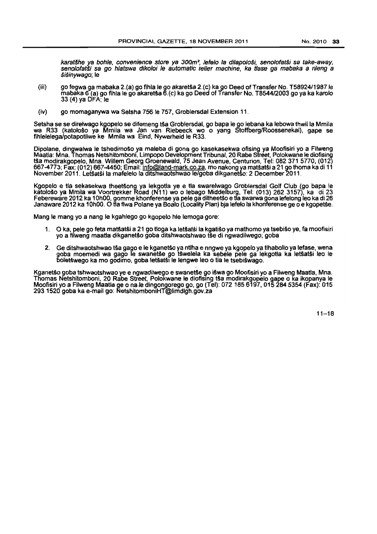karatšhe ya bohle, convenience store ya 300m<sup>2</sup>, lefelo la dilapološi, senolofatši sa take-away, senolofatši sa go hlatswa dikoloj le automatic teller machine, ka tlase ga mabaka a rileng a sisinywago; Ie

- (iii) go fegwa ga mabaka 2.(a) go fihla Ie go akaret§a 2.(c) kago Deed of Transfer No. T58924/1987 Ie mabaka 6.(a) go fihla Ie go akaret§a 6.(c) ka go Deed of Transfer No. T854412003 go ya ka karolo 33 (4) ya DFA; fe
- (iv) go momaganywa wa Setsha 756 Ie 757, Groblersdal Extension 11 .

Setsha se se direlwago kgopelo se difemeng tša Groblersdal, go bapa le go lebana ka lebowa thwii la Mmila wa R33 (katološo ya Mmila wa Jan van Riebeeck wo o yang Stoffberg/Roossenekal), gape se fihlelelegaipotapotilwe ke Mmila wa Eind, Nywerheid Ie R33.

Dipolane, dingwalwa Ie tshedimošo ya maleba di gona go kasekasekwa ofising ya Moofisiri yo a Filweng<br>Maatla: Mna. Thomas Netshitomboni, Limpopo Development Tribunal, 20 Rabe Street, Polokwane le diofising tša modirakgopelo, Mna. Willem Georg Groenewald, 75 Jean Avenue, Centurion, Tel: 082 371 5770, (012) 667-4773; Fax: (012) 667-4450; Email: <u>info@land-mark.co.za</u>, mo nakong ya matšatši a 21 go thoma ka di 11 November 2011. Letšatši la mafelelo la ditshwaotshwao le/goba dikganetšo: 2 December 2011.

Kgopelo e tla sekasekwa theetšong ya lekgotla ye e tla swarelwago Groblersdal Golf Club (go bapa le katološo ya Mmila wa Voortrekker Road (N11) wo o lebago Middelburg. Tel: (013) 262 3157), ka di 23 Febereware 2012 ka 10hOO. gomme khonferense ya pele ga ditheetSo e tla swarwa gona lefelong leo ka di 26 Janaware 2012 ka 10h00. O tia fiwa Polane ya Boalo (Locality Plan) bja lefelo la khonferense ge o e kgopetse.

Mang Ie mang yo a nang Ie kgahlego go kgopelo hie lemoga gore:

- 1. O ka, pele go feta matšatši a 21 go tioga ka letšatši la kgatišo ya mathomo ya tsebišo ye, fa moofisiri yo a filweng maaHa dikganetfio goba ditshwaotshwao tse di ngwadilwego; goba
- 2. Ge ditshwaotshwao tša gago e le kganetšo ya ntlha e nngwe ya kgopelo ya tlhabollo ya lefase, wena goba moernedi wa gago le swanetse go tswelela ka sebele pele ga lekgotla ka letsatsi leo le boletswego ka mo godimo. goba letsatsl Ie lengwe leo 0 tla Ie tsebiswago.

Kganetso goba tshwaotshwao ye e ngwadilwego e swanetse go iswa go Moofisiri yo a Filweng Maatla, Mna. Thomas Netshitomboni, 20 Rabe Street, Polokwane le diofising tsa modirakgopelo gape o ka ikopanya le Moofisiri yo a Filweng Maatla ge 0 na Ie dingongorego go, go (Tel): 0721856197,015284 5354 (Fax): 015 293 1520 goba ka e-mail go: NetshilomboniHT@limdlgh.gov.za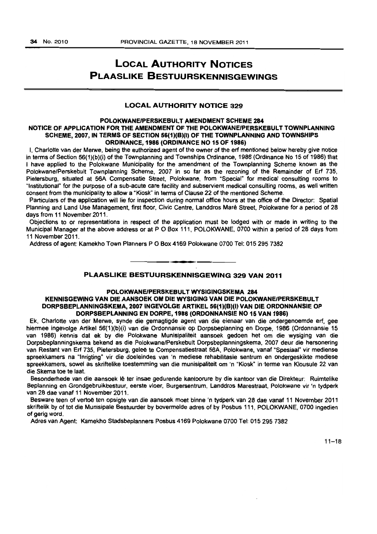# LOCAL AUTHORITY NOTICES PLAASLIKE BESTUURSKENNISGEWINGS

#### **LOCAL AUTHORITY NOTICE 329**

#### POLOKWANEIPERSKEBULT AMENDMENT SCHEME 284 NOTICE OF APPLICATION FOR THE AMENDMENT OF THE POLOKWANEIPERSKEBULT TOWNPLANNING SCHEME, 2007, IN TERMS OF SECTION 56(1)(B)(I) OF THE TOWNPLANNING AND TOWNSHIPS ORDINANCE, 1986 (ORDINANCE NO 15 OF 1986)

I. Charlotte van der Merwe, being the authorized agent of the owner of the erf mentioned below hereby give notice in terms of Section 56(1)(b)(i) of the Townplanning and Townships Ordinance, 1986 (Ordinance No 15 of 1986) that I have applied to the Polokwane Municipality for the amendment of the Townplanning Scheme known as the Polokwane/Perskebult Townplanning Scheme. 2007 in so far as the rezoning of the Remainder of Erf 735. Pietersburg, situated at 56A Compensatie Street, Polokwane, from ·Special" for medical consulting rooms to "Institutional" for the purpose of a sub-acute care facility and subservient medical consulting rooms, as well written consent from the municipality to allow a "Kiosk" in terms of Clause 22 of the mentioned Scheme.

Particulars of the application will lie for inspection during normal office hours at the office of the Director: Spatial Planning and land Use Management, first floor, Civic Centre, Landdros Mare Street, Polokwane for a period of 28 days from 11 November 2011.

Objections to or representations in respect of the application must be lodged with or made in writing to the Municipal Manager at the above address or at POBox 111, POlOKWANE. 0700 within a period of 28 days from 11 November 2011.

Address of agent: Kamekho Town Planners PO Box 4169 Polokwane 0100 Tel: 0152957382

#### PLAASLIKE BESTUURSKENNISGEWING 329 VAN 2011

. **- .** 

#### POLOKWANEIPERSKEBULT WYSIGINGSKEMA 284 KENNISGEWING VAN DIE AANSOEK OM DIE WYSIGING VAN DIE POLOKWANE/PERSKEBULT DORPS8EPLANNINGSKEMA. 2007 INGEVOLGE ARTIKEL 58(1)(8)(1) VAN DIE ORDONNANSIE OP DORPS8EPLANNING EN DORPE. 1986 (ORDONNANSIE NO 15 VAN 1986)

Ek. Charlotte van der Merwe, synde die gemagtigde agent van die eienaar van die ondergenoemde erf, gee hiermee ingevolge Artikel 56(1)(b)(i) van die Ordonnansie op Dorpsbeplanning en Dorpa. 1986 (Ordonnansle 15 van 1986) kennls dat ek by die Polokwane Munisipaliteit aansoek gadoen het om die wysiging van die Oorpsbeplanningskema bekend as die Polokwane/Perskebult Dorpsbeplanningskema, 2007 deur die hersonering van Restant van Erf 735, Pietersburg, geleë te Compensatiestraat 56A, Polokwane, vanaf "Spesiaal" vir mediense spreekkamers na "Inrigting" vir die doeleindes van 'n mediese rehabilitasie sentrum en ondergeskikte mediese spreekkamers, sowel as skriftelike toestemming van die munisipaliteit om 'n "Kiosk" in terme van Klousule 22 van die Skema toe te laat.

Besonderhede van die aansoek 16 ter insae gedurende kantoorure by die kantoor van die Oirekteur: Ruimtelike Beplanning en Grondgebruikbestuur. eerste vloer, Burgersentrum. Landdros Marestraat. Polokwane vir 'n tydperk van 28 dae vanaf 11 November 2011.

Besware teen of vertoë ten opsigte van die aansoek moet binne 'n tydperk van 28 dae vanaf 11 November 2011 skriftelik by of tot die Munisipale Bestuurder by bovermelde adres of by Posbus 111, POLOKWANE, 0700 ingadien of gerig word.

Adrea van Agent: Kamekho Stadsbeplanners Posbus 4169 Polokwane 0700 Tel: 0152957382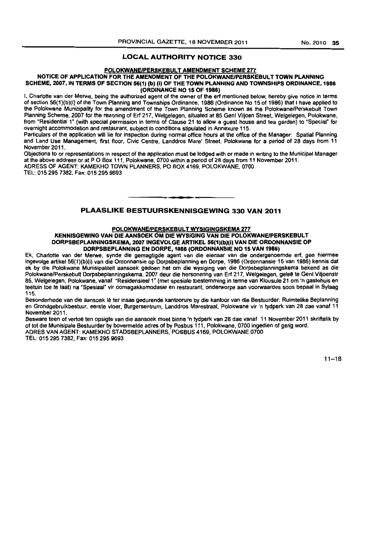#### LOCAL AUTHORITY NOTICE 330

#### POLOKWANE/PERSKEBULT AMENDMENT SCHEME 277

#### NOTICE OF APPLICATION FOR THE AMENOMENT OF THE POlOKWANEIPERSKESUL T TOWN PlANNING SCHEME, 2007, IN TERMS OF SECTION 56(1) (b) (i) OF THE TOWN PLANNING AND TOWNSHIPS ORDINANCE, 1986 (ORDINANCE NO 15 OF 1986)

I. Charlotte van der Marwe. being the authorized agent of the owner of the ert mentioned below, hereby give notice in terms of section 56(1)(b)(i} of the Town Planning and Townships Ordinance. 1986 (Ordinance No 15 of 1986) that I have applied to the Polokwane MuniCipality for the amendment of the Town Planning Scheme known as the Polokwane/Perskebult Town Planning Scheme, *2007* fot the rezoning of Erf 217, Welgelegen. situated at 85 Genl Viljoen Street, Welgelegen. Polokwane, from "Residential 1" (with special permission in terms of Clause 21 to allow a guest house and tea garden) to "Special" for overnight accommodation and restaurant, subject to conditions stipulated in Annexure 115,

Particulars of the application will lie for inspection during normal office hours at the office of the Manager: Spatial Planning and Land Use Management. first floor, Civic Centre. Landdros Mare' Street, Polokwane for a period of 28 days from 11 November 2011.

Objections to or representations in respect of the application must be lodged with or made in writing to the Municipal Manager at the above address or at P O Box 111, Polokwane, 0700 within a period of 28 days from 11 November 2011. ADRESS OF AGENT: KAMEKHO TOWN PLANNERS, PO BOX 4169, POlOKWANE, 0700

TEL: 015 295 7382. Fax: 0152959693

#### PLAASLIKE BESTUURSKENNISGEWING 330 VAN 2011

• **• •** 

#### POLQKWANEIPERSKEBULT WYSIGINGSKEMA 277

#### KENNISGEWING VAN DIE AANSOEK OM DIE WYSIGING VAN DIE POLOKWANE/PERSKEBULT DORPSBEPLANNINGSKEMA, 2007 INGEVOLGE ARTIKEL 56(1)(b)(i) VAN DIE ORDONNANSIE OP DORPSBEPLANNING EN DORPE, 1986 (ORDONNANSIE NO 15 VAN 1986)

Ek, Charlotte van der Merwe, synde die gemagtigde agent van die eienaar van die ondergenoemde erf, gee hiermee ingevolge artikel 56(1)(b)(i) van die Ordonnansie op Dorpsbeplanning en Dorpe. 1986 (Ordonnansie 15 van 1986) kennis dat ek by die Polokwane Munisipalitelt aansoek gedoen het om die wysiging van die Darpsbeplanningskema bekend as die PoiokwanelPerskebult Dorpsbeplanningskems, 2007 deur die hersonering van Erf 211, Welgelegen, gelee te Genl Viljoenstr 85, Welgelegen, Polokwane, vanaf "Residensieel 1" (met spesiale toestemming in terme van Klousule 21 om 'n gastehuis en teetuin toe te laat) na "Spesiaal" vir oomagakkomodasie en restaurant, onderworpe aan voorwaardes soos bepaal in Bylaag 115.

Besonderhede van die aansoek lê ter insae gedurende kantoorure by die kantoor van die Bestuurder: Ruimtelike Beplanning en Grondgebruikbestuur, eerste vloer, Burgersentrum, Landdros Marestraat, Polokwane vir 'n tydperk van 28 dae vanaf 11 November 2011.

Besware teen of vertoë ten opsigte van die aansoek moet binne 'n tydperk van 28 dae vanaf 11 November 2011 skriftelik by of tot die Munisipale Bestuurder by bovermelde adres of by Posbus 111, Polokwane, 0700 ingedien of gerig word. ADRES VAN AGENT: KAMEKHO STADSSEPLANNERS, POSBUS 4169. POlOKWANE 0700 TEL: 015 295 7382. Fax: 0152959693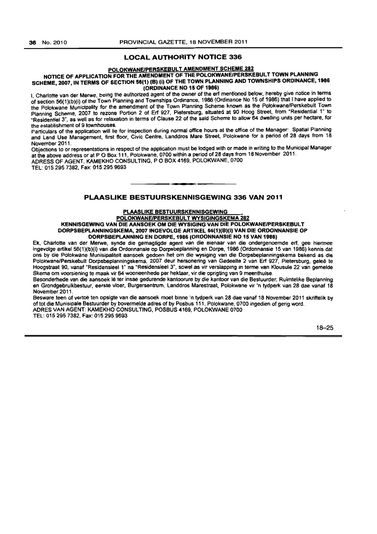#### LOCAL AUTHORITY NOTICE 336

#### eOLOKWANEIPERSKESULT AMENDMENT SCHEME 282

#### NOTICE OF APPLICATION FOR THE AMENDMENT OF THE POLOKWANE/PERSKEBULT TOWN PLANNING SCHEME, 2007, IN TERMS OF SECTION 56(1) (B) (i) OF THE TOWN PLANNING AND TOWNSHIPS ORDINANCE, 1986 (ORDINANCE NO 15 OF 1986)

I. Charlotte van der Merwe, being the authorized agent of the owner of the erf mentioned below, hereby give notice in terms of section 56(1 )(b)(i) of the Town Planning and Townships Ordinance, 1986 (Ordinance No 15 of 1986) that I have applied to the Polokwane Municipality for the amendment of the Town Planning Scheme known as the Polokwane/Perskebult Town Planning Scheme, 2007 to rezone Portion 2 of Erf 927. Pietersburg, situated at 90 Hoog Street, from "Residential 1" to \*Residential 3", as well as for relaxation in terms of Clause 22 of the said Scheme to allow 64 dwelling units per hectare, for the establishment of 9 townhouses.

Particulars of the application Will lie for inspection during normal office hours at the office of the Manager: Spatial Planning and Land Use Management, first floor. Civic Centre, Landdros Mare Street. Polokwane for a period of 28 days from 18 November 2011.

Objections to or representations in (espect of the application must be lodged With or made in writing to the Municipal Manager at the above address or at POBox 111, Polokwane. 0700 within a period of 28 days from 18 November 2011.

ADRESS OF AGENT: KAMEKHO CONSULTING, POBOX 4169, POLOKWANE. 0700 TEL: 0152957382. Fax: 0152959693

#### PLAASLIKE BESTUURSKENNISGEWING 336 VAN 2011

**•** 

## PLAASLIKE BESTUURSKENNISGEWING

POLOKWANE/PERSKEBULT WVSIGINGSKEMA 282 KENNISGEWING VAN DIE AANSOEK OM DIE WYSIGING VAN DIE POLOKWANEJPERSKEBULT DORPSBEPLANNINGSKEMA, 2007 INGEVOLGE ARTIKEL 56(1)(B)(I) VAN DIE ORDONNANSIE OP DORPSBEPLANNfNG EN DORPE, 1986 (ORDONNANSIE NO 15 VAN 1986)

Ek. Charlotte van der Merwe, synde die gemagtigde agent van die eienaar van die ondergenoemde erf, gee hiermee ingevolge artikel 56(1)(b)(i) van die Ordonnansie op Dorpsbeplanning en Dorpe. 1986 (Ordonnansie 15 van 1986) kennis dat ons by die Polokwane Munisipaliteit aansoek gedoen het om die wysiging van die Dorpsbeplanningskema bekend as die Polokwane/Perskebult Dorpsbeplanningskema, 2007 deur hersonening van Gedeelte 2 van Erf 927, Pietersburg, geleë te Hoogstraat 90, vanaf "ResidensieeI 1" na "ResidensieeI 3", sowel as vir verslapping in terme van Klousule 22 van gemelde Skerna om voorslening te maak vir 64 wooneenhede per hektaar, vir die oprigting van 9 meenthuise.

Besonderhede van die aansoek Iê ter insae gedurende kantoorure by die kantoor van die Bestuurder: Ruimtelike Beplanning en Grondgebruikbestuur, eerste vloer, Burgersentrum, Landdros Marestraat. Polokwane vir 'n tydperk van 28 dae vanaf 18 November 2011.

Besware teen of vertoe ten opslgte van die aanseek meet blnne 'n tydperk. van 28 dae vanaf 18 November 2011 skriftelik by of tot die Munisipale Bestuurder by bovermelde adres of by Posbus 111, Polokwane. 0700 ingedien of gerig word. ADRES VAN AGENT: KAMEKHO CONSULTING, POSBUS 4169. POlOKWANE 0700 TEL: 015 295 7382. Fax: 0152959693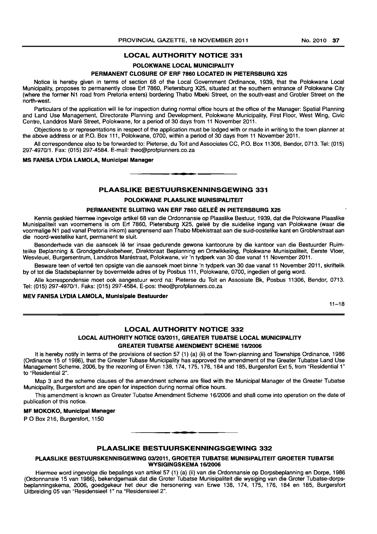#### LOCAL AUTHORITY NOTICE 331

#### POLOKWANE LOCAL MUNICIPALITY

#### PERMANENT CLOSURE OF ERF 7860 LOCATED IN PIETERSBURG X25

Notice is hereby given in terms of section 68 of the Local Government Ordinance, 1939, that the Polokwane Local Municipality, proposes to permanently close Erf 7860, Pietersburg X25, situated at the southern entrance of Polokwane City (where the former N1 road from Pretoria enters) bordering Thabo Mbeki Street, on the south-east and Grobler Street on the north-west.

Particulars of the application will lie for inspection during normal office hours at the office of the Manager: Spatial Planning and Land Use Management, Directorate Planning and Development, Polokwane Municipality, First Floor, West Wing, Civic Centre, Landdros Mare Street, Polokwane, for a period of 30 days from 11 November 2011.

Objections to or representations in respect of the application must be lodged with or made in writing to the town planner at the above address or at P.O. Box 111, Polokwane, 0700, within a period of 30 days from 11 November 2011.

All correspondence also to be forwarded to: Pieterse, du Toit and Associates CC, P.O. Box 11306, Bendor, 0713. Tel: (015) 297-4970/1. Fax: (015) 297-4584. E-mail: theo@profplanners.co.za

#### MS FANISA LYDIA LAMOLA, Municipal Manager

#### PLAASLIKE BESTUURSKENNINSGEWING 331

**•** 

#### POLOKWANE PLAASLIKE MUNISIPALITEIT

#### PERMANENTE SLUITING VAN ERF 7860 GELEE IN PIETERSBURG X25

Kennis geskied hiermee ingevolge artikel 68 van die Ordonnansie op Plaaslike Bestuur, 1939, dat die Polokwane Plaaslike Munisipaliteit van voornemens is om Erf 7860, Pietersburg X25, gelee by die suidelike ingang van Polokwane (waar die voormalige N1 pad vanaf Pretoria inkom) aangrensend aan Thabo Mbekistraat aan die suid-oostelike kant en Groblerstraat aan die noord-westelike kant, permanent te sluit.

Besonderhede van die aansoek lê ter insae gedurende gewone kantoorure by die kantoor van die Bestuurder Ruimtelike Beplanning & Grondgebruiksbeheer, Direktoraat Beplanning en Ontwikkeling, Polokwane Munisipaliteit, Eerste Vloer, Wesvleuel, Burgersentrum, Landdros Marestraat, Polokwane, vir 'n tydperk van 30 dae vanaf 11 November 2011.

Besware teen of vertoë ten opsigte van die aansoek moet binne 'n tydperk van 30 dae vanaf 11 November 2011, skriftelik by of tot die Stadsbeplanner by bovermelde adres of by Posbus 111, Polokwane, 0700, ingedien of gerig word.

Aile korrespondensie moet ook aangestuur word na: Pieterse du Toit en Assosiate Bk, Posbus 11306, Bendor, 0713. Tel: (015) 297-4970/1. Faks: (015) 297-4584. E-pos: theo@profplanners.co.za

#### MEV FANISA LYDIA LAMOLA, Munisipale Bestuurder

 $11 - 18$ 

#### LOCAL AUTHORITY NOTICE 332

#### LOCAL AUTHORITY NOTICE 0312011, GREATER TUBATSE LOCAL MUNICIPALITY GREATER TUBATSE AMENDMENT SCHEME 1612006

It is hereby notify in terms of the provisions of section 57 (1) (a) (ii) of the Town-planning and Townships Ordinance, 1986 (Ordinance 15 of 1986), that the Greater Tubase Municipality has approved the amendment of the Greater Tubatse Land Use Management Scheme, 2006, by the rezoning of Erven 138, 174, 175, 176, 184 and 185, Burgersfort Ext 5, from "Residential 1" to "Residential 2".

Map 3 and the scheme clauses of the amendment scheme are filed with the Municipal Manager of the Greater Tubatse Municipality, Burgersfort and are open for inspection during normal office hours.

This amendment is known as Greater Tubatse Amendment Scheme 16/2006 and shall come into operation on the date of publication of this notice.

#### MF MOKOKO, Municipal Manager

PO Box 216, Burgersfort, 1150

#### PLAASLIKE BESTUURSKENNINGSGEWING 332

**-**

#### PLAASLIKE BESTUURSKENNISGEWING 0312011, GROETER TUBATSE MUNISIPALITEIT GROETER TUBATSE WYSIGINGSKEMA 16/2006

Hiermee word ingevolge die bepalings van artikel 57 (1) (a) (ii) van die Ordonnansie op Dorpsbeplanning en Dorpe, 1986 (Ordonnansie 15 van 1986), bekendgemaak dat die Groter Tubatse Munisipaliteit die wysiging van die Groter Tubatse-dorpsbeplanningskema, 2006, goedgekeur het deur die hersonering van Erwe 138, 174, 175, 176, 184 en 185, Burgersfort Uitbreiding 05 van "Residensieel 1" na "Residensieel 2".